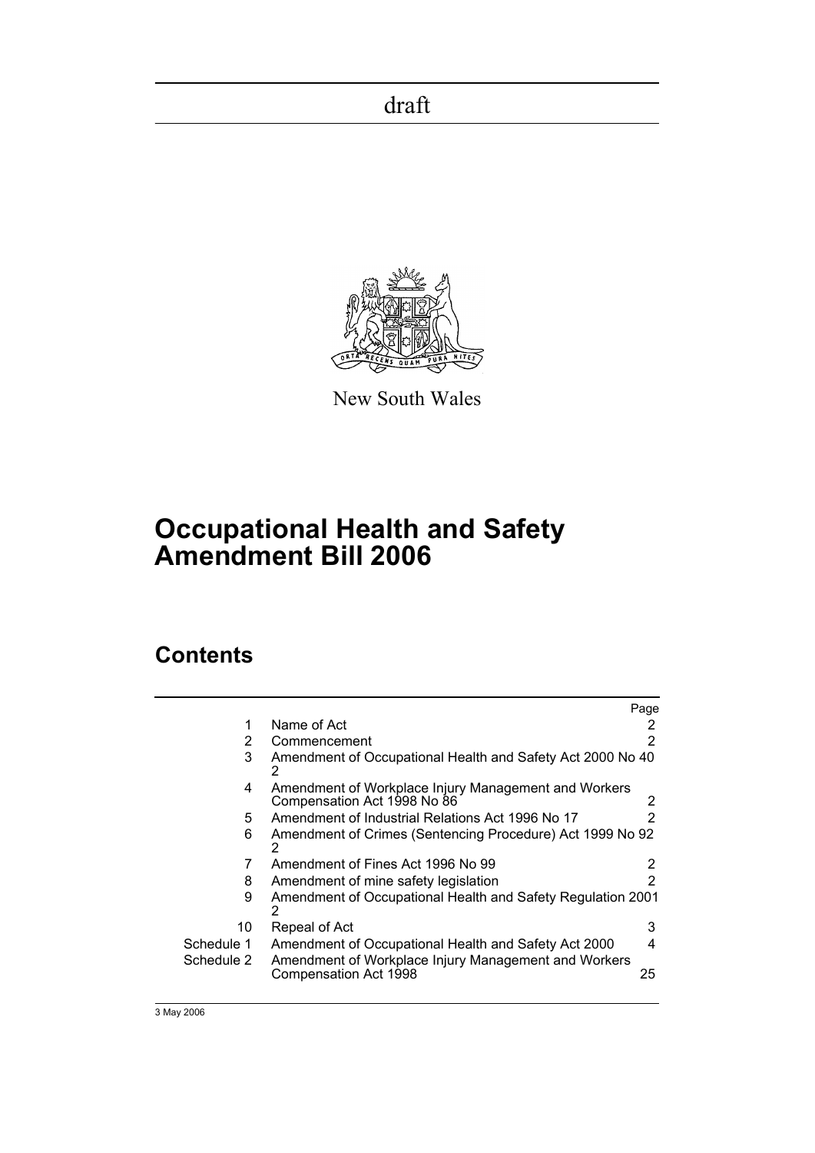

New South Wales

# **Occupational Health and Safety Amendment Bill 2006**

## **Contents**

|                                                                                     | Page          |
|-------------------------------------------------------------------------------------|---------------|
| Name of Act                                                                         | 2             |
| Commencement                                                                        | 2             |
| Amendment of Occupational Health and Safety Act 2000 No 40<br>2                     |               |
| Amendment of Workplace Injury Management and Workers<br>Compensation Act 1998 No 86 | 2             |
| Amendment of Industrial Relations Act 1996 No 17                                    | $\mathcal{P}$ |
| Amendment of Crimes (Sentencing Procedure) Act 1999 No 92<br>2                      |               |
| Amendment of Fines Act 1996 No 99                                                   | 2             |
| Amendment of mine safety legislation                                                | 2             |
| Amendment of Occupational Health and Safety Regulation 2001<br>2                    |               |
| Repeal of Act                                                                       | 3             |
| Amendment of Occupational Health and Safety Act 2000                                | 4             |
| Amendment of Workplace Injury Management and Workers<br>Compensation Act 1998       | 25            |
|                                                                                     |               |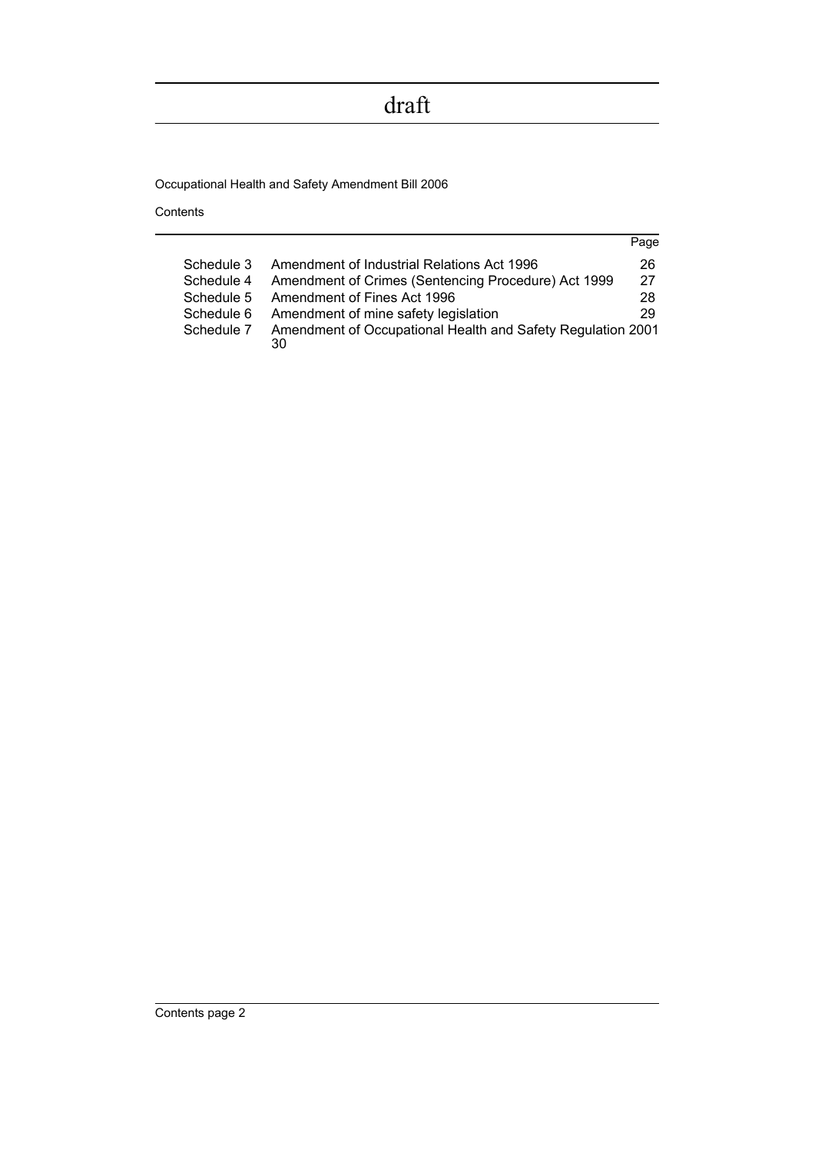Occupational Health and Safety Amendment Bill 2006

Contents

|            |                                                                   | Page |
|------------|-------------------------------------------------------------------|------|
| Schedule 3 | Amendment of Industrial Relations Act 1996                        | 26   |
| Schedule 4 | Amendment of Crimes (Sentencing Procedure) Act 1999               | 27   |
| Schedule 5 | Amendment of Fines Act 1996                                       | 28   |
| Schedule 6 | Amendment of mine safety legislation                              | 29   |
| Schedule 7 | Amendment of Occupational Health and Safety Regulation 2001<br>30 |      |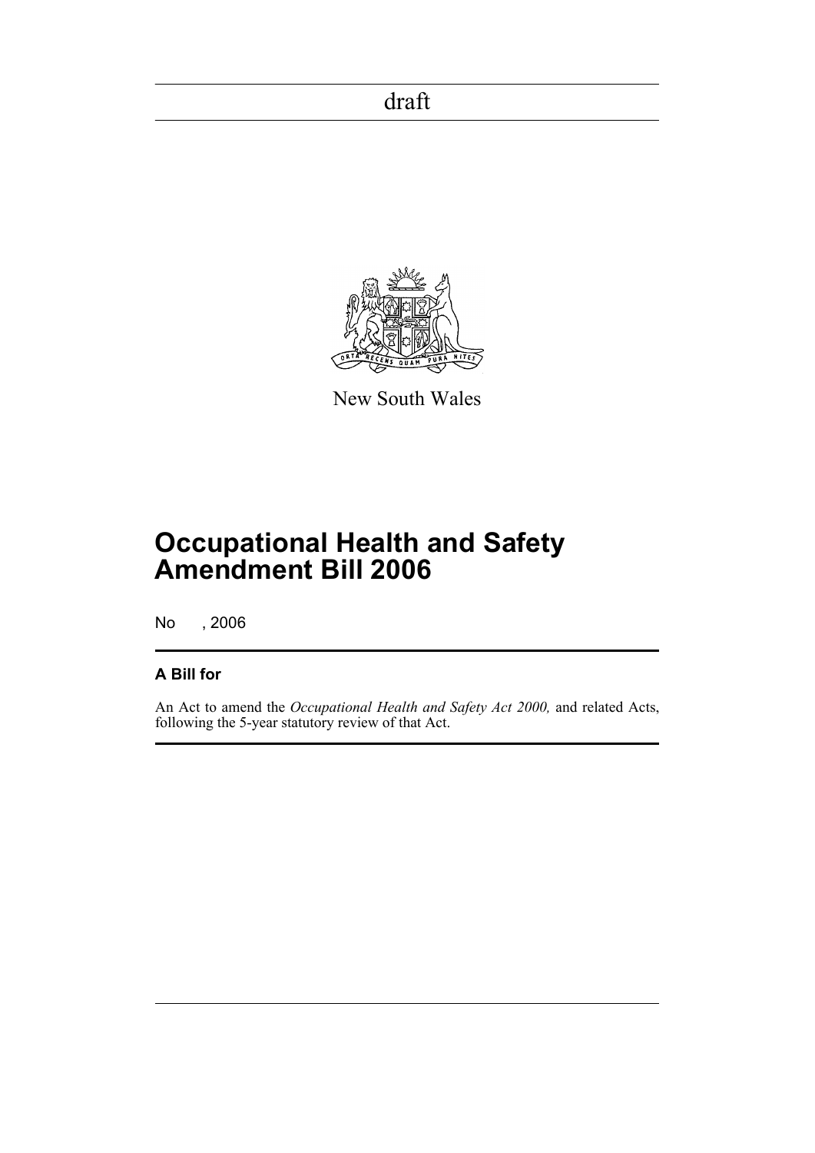

New South Wales

# **Occupational Health and Safety Amendment Bill 2006**

No , 2006

### **A Bill for**

An Act to amend the *Occupational Health and Safety Act 2000,* and related Acts, following the 5-year statutory review of that Act.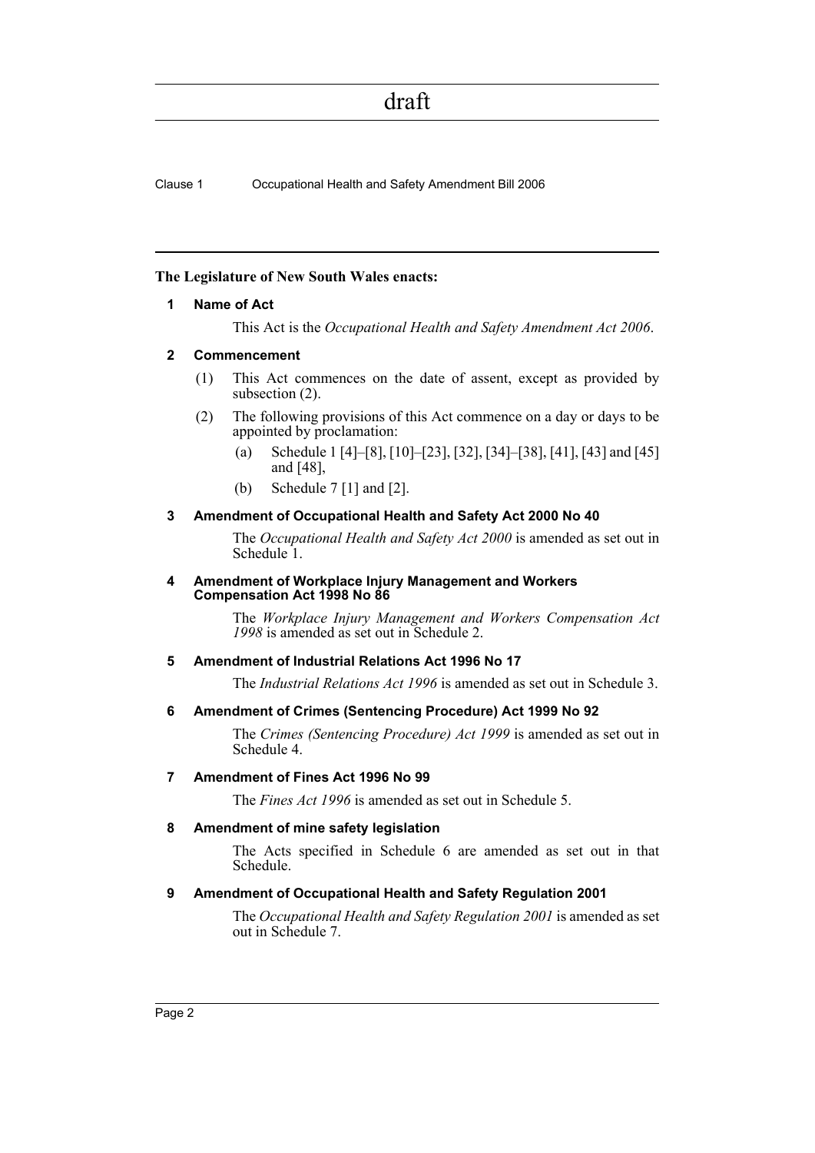Clause 1 Occupational Health and Safety Amendment Bill 2006

#### <span id="page-3-0"></span>**The Legislature of New South Wales enacts:**

#### **1 Name of Act**

This Act is the *Occupational Health and Safety Amendment Act 2006*.

#### <span id="page-3-1"></span>**2 Commencement**

- (1) This Act commences on the date of assent, except as provided by subsection (2).
- (2) The following provisions of this Act commence on a day or days to be appointed by proclamation:
	- (a) Schedule 1 [4]–[8], [10]–[23], [32], [34]–[38], [41], [43] and [45] and [48],
	- (b) Schedule 7 [1] and [2].

#### <span id="page-3-2"></span>**3 Amendment of Occupational Health and Safety Act 2000 No 40**

The *Occupational Health and Safety Act 2000* is amended as set out in Schedule 1.

#### <span id="page-3-3"></span>**4 Amendment of Workplace Injury Management and Workers Compensation Act 1998 No 86**

The *Workplace Injury Management and Workers Compensation Act 1998* is amended as set out in Schedule 2.

#### <span id="page-3-4"></span>**5 Amendment of Industrial Relations Act 1996 No 17**

The *Industrial Relations Act 1996* is amended as set out in Schedule 3.

#### <span id="page-3-5"></span>**6 Amendment of Crimes (Sentencing Procedure) Act 1999 No 92**

The *Crimes (Sentencing Procedure) Act 1999* is amended as set out in Schedule 4.

#### <span id="page-3-6"></span>**7 Amendment of Fines Act 1996 No 99**

The *Fines Act 1996* is amended as set out in Schedule 5.

#### <span id="page-3-7"></span>**8 Amendment of mine safety legislation**

The Acts specified in Schedule 6 are amended as set out in that Schedule.

#### <span id="page-3-8"></span>**9 Amendment of Occupational Health and Safety Regulation 2001**

The *Occupational Health and Safety Regulation 2001* is amended as set out in Schedule 7.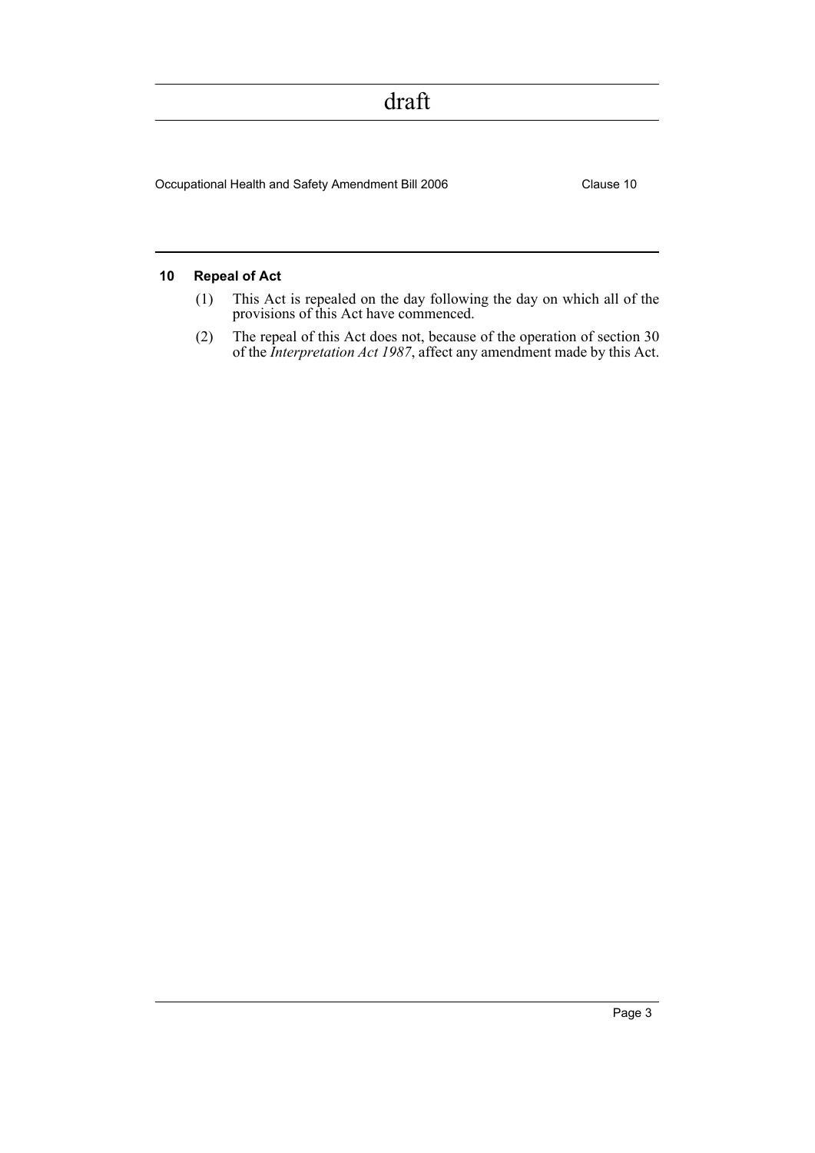Occupational Health and Safety Amendment Bill 2006 Clause 10

#### <span id="page-4-0"></span>**10 Repeal of Act**

- (1) This Act is repealed on the day following the day on which all of the provisions of this Act have commenced.
- (2) The repeal of this Act does not, because of the operation of section 30 of the *Interpretation Act 1987*, affect any amendment made by this Act.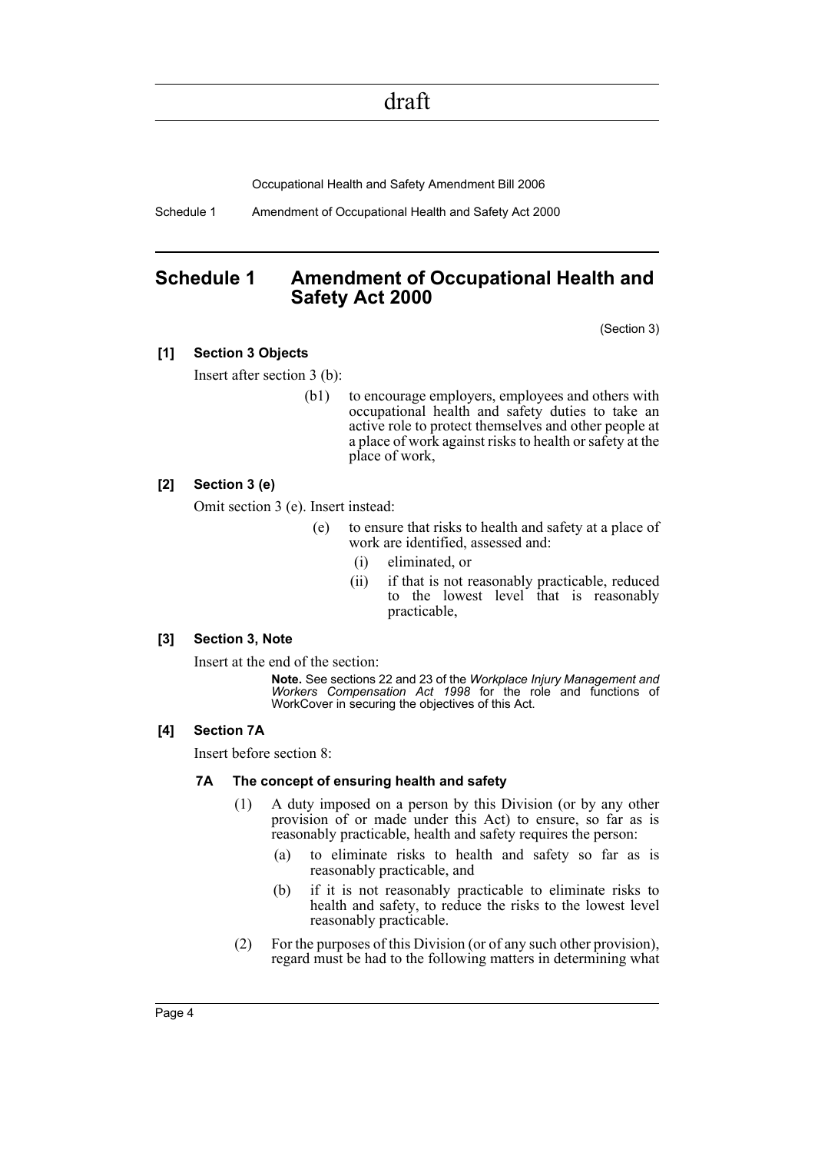Occupational Health and Safety Amendment Bill 2006

Schedule 1 Amendment of Occupational Health and Safety Act 2000

### <span id="page-5-0"></span>**Schedule 1 Amendment of Occupational Health and Safety Act 2000**

(Section 3)

#### **[1] Section 3 Objects**

Insert after section 3 (b):

(b1) to encourage employers, employees and others with occupational health and safety duties to take an active role to protect themselves and other people at a place of work against risks to health or safety at the place of work,

#### **[2] Section 3 (e)**

Omit section 3 (e). Insert instead:

- (e) to ensure that risks to health and safety at a place of work are identified, assessed and:
	- (i) eliminated, or
	- (ii) if that is not reasonably practicable, reduced to the lowest level that is reasonably practicable,

#### **[3] Section 3, Note**

Insert at the end of the section:

**Note.** See sections 22 and 23 of the *Workplace Injury Management and Workers Compensation Act 1998* for the role and functions of WorkCover in securing the objectives of this Act.

#### **[4] Section 7A**

Insert before section 8:

#### **7A The concept of ensuring health and safety**

- (1) A duty imposed on a person by this Division (or by any other provision of or made under this Act) to ensure, so far as is reasonably practicable, health and safety requires the person:
	- (a) to eliminate risks to health and safety so far as is reasonably practicable, and
	- (b) if it is not reasonably practicable to eliminate risks to health and safety, to reduce the risks to the lowest level reasonably practicable.
- (2) For the purposes of this Division (or of any such other provision), regard must be had to the following matters in determining what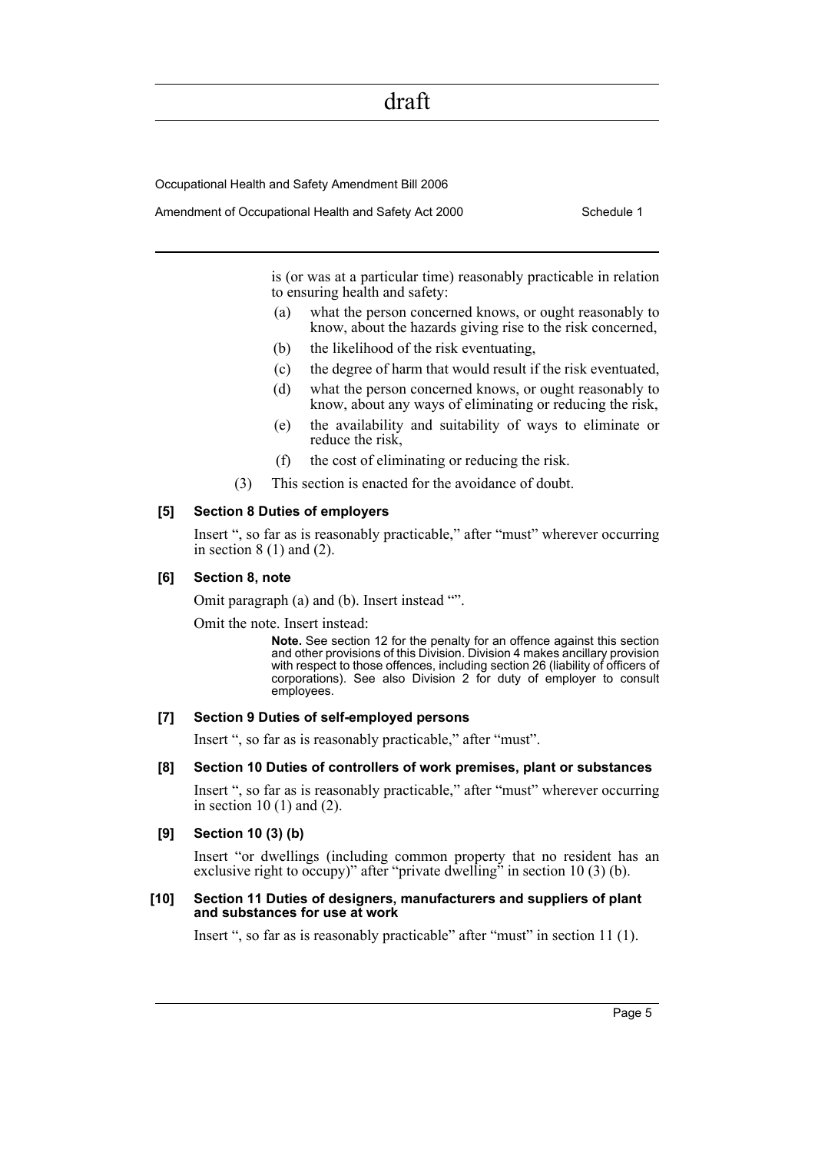Occupational Health and Safety Amendment Bill 2006

Amendment of Occupational Health and Safety Act 2000 Schedule 1

is (or was at a particular time) reasonably practicable in relation to ensuring health and safety:

- (a) what the person concerned knows, or ought reasonably to know, about the hazards giving rise to the risk concerned,
- (b) the likelihood of the risk eventuating,
- (c) the degree of harm that would result if the risk eventuated,
- (d) what the person concerned knows, or ought reasonably to know, about any ways of eliminating or reducing the risk,
- (e) the availability and suitability of ways to eliminate or reduce the risk,
- (f) the cost of eliminating or reducing the risk.
- (3) This section is enacted for the avoidance of doubt.

#### **[5] Section 8 Duties of employers**

Insert ", so far as is reasonably practicable," after "must" wherever occurring in section  $8(1)$  and  $(2)$ .

#### **[6] Section 8, note**

Omit paragraph (a) and (b). Insert instead "".

Omit the note. Insert instead:

**Note.** See section 12 for the penalty for an offence against this section and other provisions of this Division. Division 4 makes ancillary provision with respect to those offences, including section 26 (liability of officers of corporations). See also Division 2 for duty of employer to consult employees.

#### **[7] Section 9 Duties of self-employed persons**

Insert ", so far as is reasonably practicable," after "must".

#### **[8] Section 10 Duties of controllers of work premises, plant or substances**

Insert ", so far as is reasonably practicable," after "must" wherever occurring in section  $10(1)$  and  $(2)$ .

#### **[9] Section 10 (3) (b)**

Insert "or dwellings (including common property that no resident has an exclusive right to occupy)" after "private dwelling" in section 10 (3) (b).

#### **[10] Section 11 Duties of designers, manufacturers and suppliers of plant and substances for use at work**

Insert ", so far as is reasonably practicable" after "must" in section 11 (1).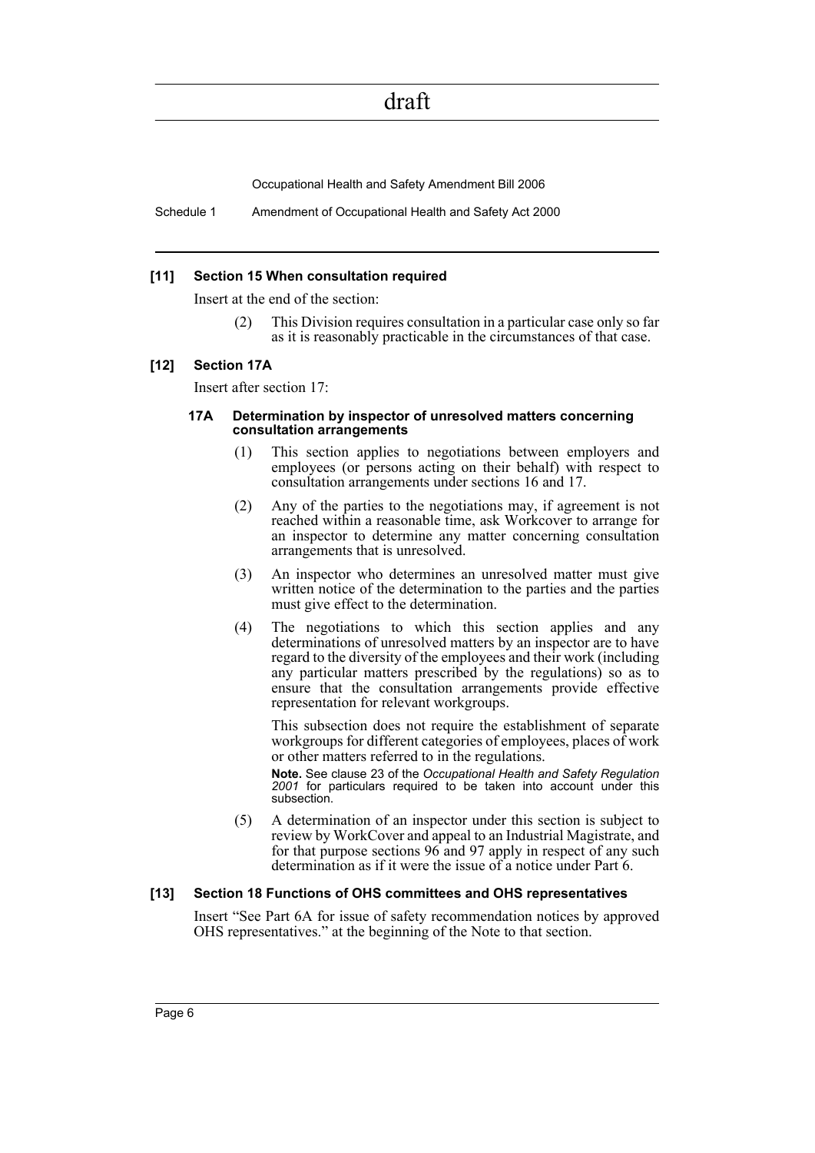Occupational Health and Safety Amendment Bill 2006

Schedule 1 Amendment of Occupational Health and Safety Act 2000

#### **[11] Section 15 When consultation required**

Insert at the end of the section:

(2) This Division requires consultation in a particular case only so far as it is reasonably practicable in the circumstances of that case.

#### **[12] Section 17A**

Insert after section 17:

#### **17A Determination by inspector of unresolved matters concerning consultation arrangements**

- (1) This section applies to negotiations between employers and employees (or persons acting on their behalf) with respect to consultation arrangements under sections 16 and 17.
- (2) Any of the parties to the negotiations may, if agreement is not reached within a reasonable time, ask Workcover to arrange for an inspector to determine any matter concerning consultation arrangements that is unresolved.
- (3) An inspector who determines an unresolved matter must give written notice of the determination to the parties and the parties must give effect to the determination.
- (4) The negotiations to which this section applies and any determinations of unresolved matters by an inspector are to have regard to the diversity of the employees and their work (including any particular matters prescribed by the regulations) so as to ensure that the consultation arrangements provide effective representation for relevant workgroups.

This subsection does not require the establishment of separate workgroups for different categories of employees, places of work or other matters referred to in the regulations.

**Note.** See clause 23 of the *Occupational Health and Safety Regulation 2001* for particulars required to be taken into account under this subsection.

(5) A determination of an inspector under this section is subject to review by WorkCover and appeal to an Industrial Magistrate, and for that purpose sections 96 and 97 apply in respect of any such determination as if it were the issue of a notice under Part 6.

#### **[13] Section 18 Functions of OHS committees and OHS representatives**

Insert "See Part 6A for issue of safety recommendation notices by approved OHS representatives." at the beginning of the Note to that section.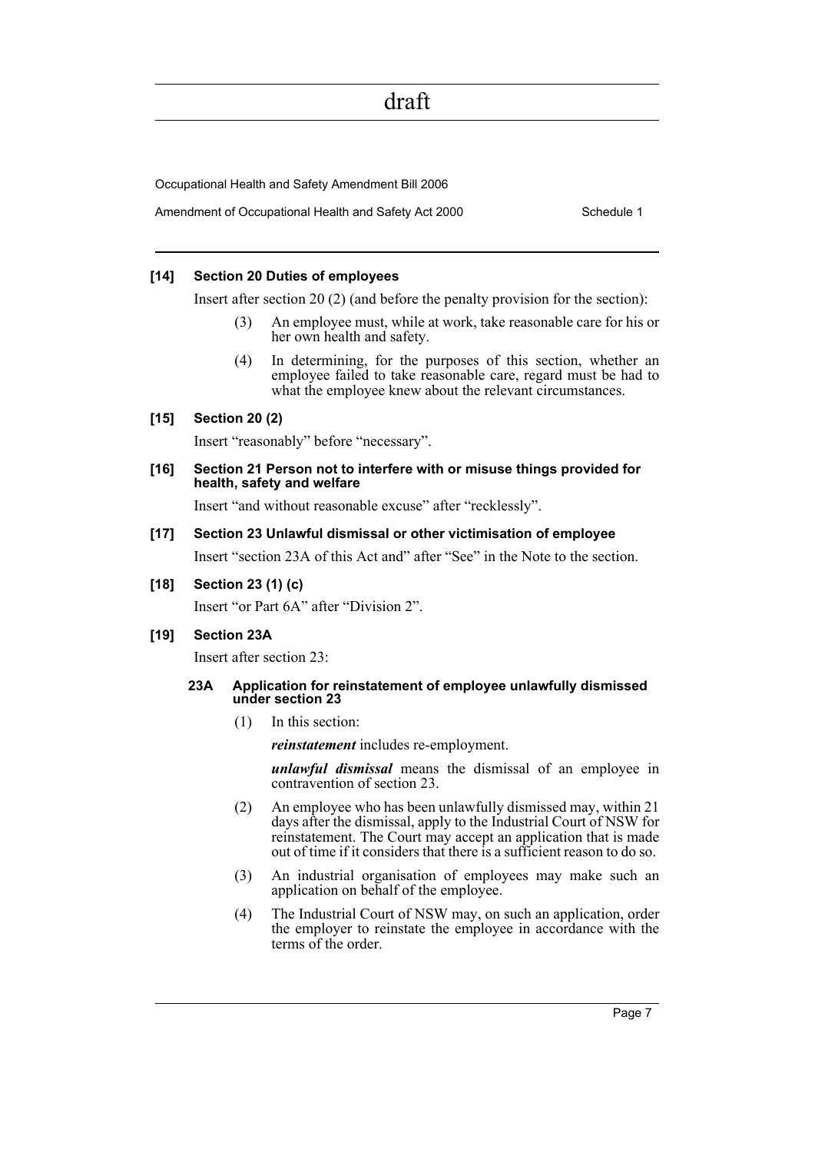Occupational Health and Safety Amendment Bill 2006

Amendment of Occupational Health and Safety Act 2000 Schedule 1

#### **[14] Section 20 Duties of employees**

Insert after section 20 (2) (and before the penalty provision for the section):

- An employee must, while at work, take reasonable care for his or her own health and safety.
- (4) In determining, for the purposes of this section, whether an employee failed to take reasonable care, regard must be had to what the employee knew about the relevant circumstances.

#### **[15] Section 20 (2)**

Insert "reasonably" before "necessary".

#### **[16] Section 21 Person not to interfere with or misuse things provided for health, safety and welfare**

Insert "and without reasonable excuse" after "recklessly".

#### **[17] Section 23 Unlawful dismissal or other victimisation of employee**

Insert "section 23A of this Act and" after "See" in the Note to the section.

**[18] Section 23 (1) (c)**

Insert "or Part 6A" after "Division 2".

#### **[19] Section 23A**

Insert after section 23:

#### **23A Application for reinstatement of employee unlawfully dismissed under section 23**

(1) In this section:

*reinstatement* includes re-employment.

*unlawful dismissal* means the dismissal of an employee in contravention of section 23.

- (2) An employee who has been unlawfully dismissed may, within 21 days after the dismissal, apply to the Industrial Court of NSW for reinstatement. The Court may accept an application that is made out of time if it considers that there is a sufficient reason to do so.
- (3) An industrial organisation of employees may make such an application on behalf of the employee.
- (4) The Industrial Court of NSW may, on such an application, order the employer to reinstate the employee in accordance with the terms of the order.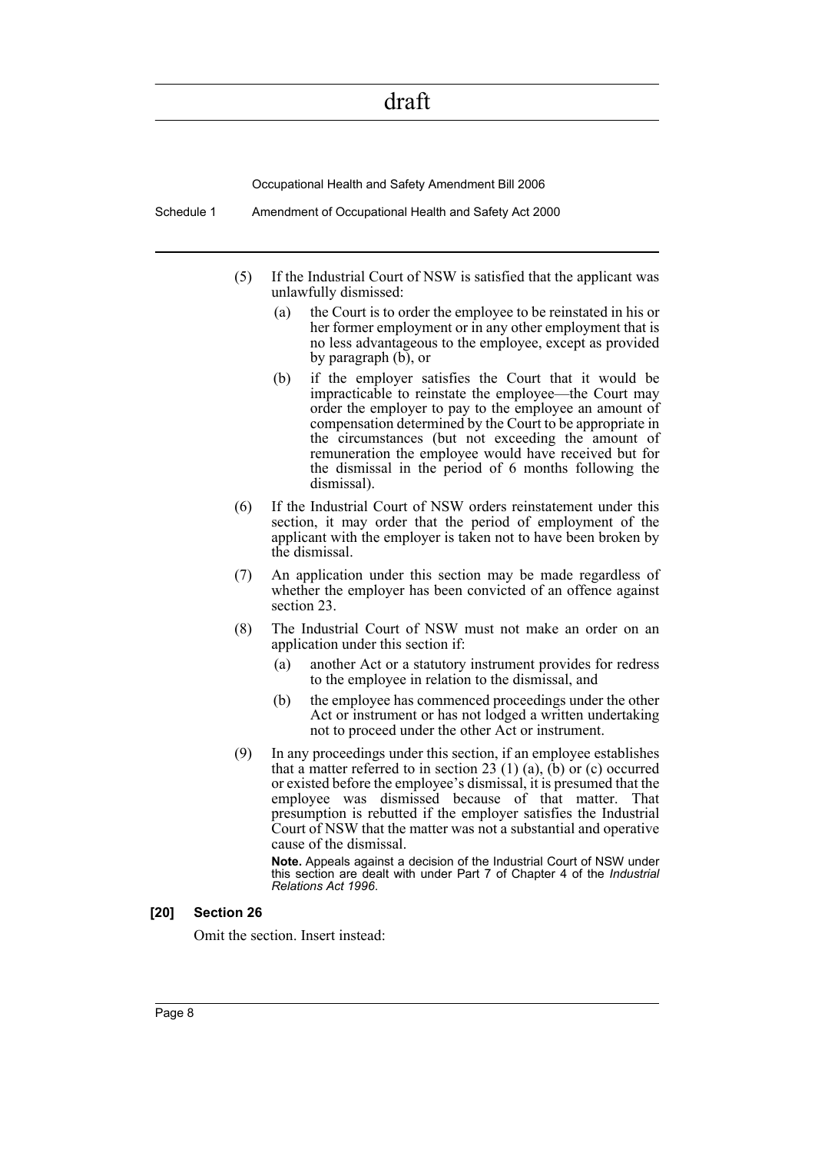Occupational Health and Safety Amendment Bill 2006

Schedule 1 Amendment of Occupational Health and Safety Act 2000

- (5) If the Industrial Court of NSW is satisfied that the applicant was unlawfully dismissed:
	- (a) the Court is to order the employee to be reinstated in his or her former employment or in any other employment that is no less advantageous to the employee, except as provided by paragraph (b), or
	- (b) if the employer satisfies the Court that it would be impracticable to reinstate the employee—the Court may order the employer to pay to the employee an amount of compensation determined by the Court to be appropriate in the circumstances (but not exceeding the amount of remuneration the employee would have received but for the dismissal in the period of 6 months following the dismissal).
- (6) If the Industrial Court of NSW orders reinstatement under this section, it may order that the period of employment of the applicant with the employer is taken not to have been broken by the dismissal.
- (7) An application under this section may be made regardless of whether the employer has been convicted of an offence against section 23.
- (8) The Industrial Court of NSW must not make an order on an application under this section if:
	- (a) another Act or a statutory instrument provides for redress to the employee in relation to the dismissal, and
	- (b) the employee has commenced proceedings under the other Act or instrument or has not lodged a written undertaking not to proceed under the other Act or instrument.
- (9) In any proceedings under this section, if an employee establishes that a matter referred to in section 23  $(1)$   $(a)$ ,  $(b)$  or  $(c)$  occurred or existed before the employee's dismissal, it is presumed that the employee was dismissed because of that matter. That presumption is rebutted if the employer satisfies the Industrial Court of NSW that the matter was not a substantial and operative cause of the dismissal.

**Note.** Appeals against a decision of the Industrial Court of NSW under this section are dealt with under Part 7 of Chapter 4 of the *Industrial Relations Act 1996*.

#### **[20] Section 26**

Omit the section. Insert instead: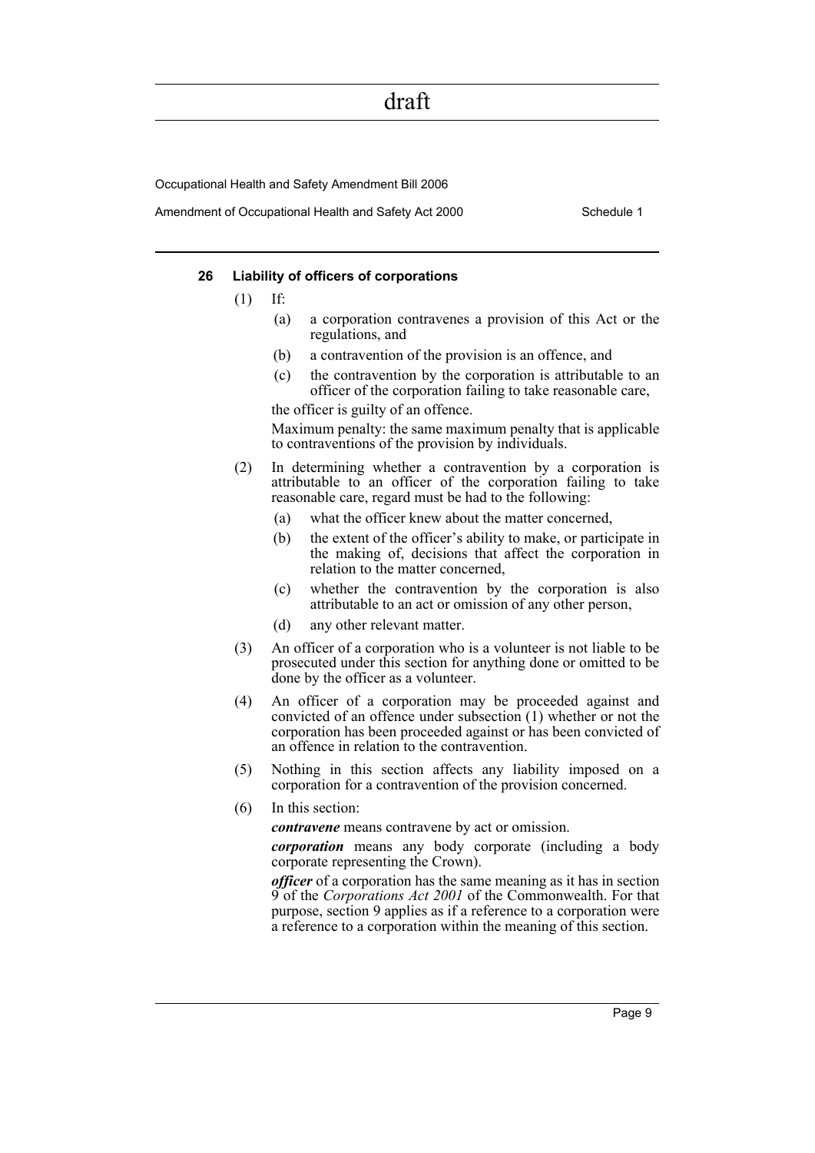Occupational Health and Safety Amendment Bill 2006

Amendment of Occupational Health and Safety Act 2000 Schedule 1

#### **26 Liability of officers of corporations**

- $(1)$  If:
	- (a) a corporation contravenes a provision of this Act or the regulations, and
	- (b) a contravention of the provision is an offence, and
	- (c) the contravention by the corporation is attributable to an officer of the corporation failing to take reasonable care,

the officer is guilty of an offence.

Maximum penalty: the same maximum penalty that is applicable to contraventions of the provision by individuals.

- (2) In determining whether a contravention by a corporation is attributable to an officer of the corporation failing to take reasonable care, regard must be had to the following:
	- (a) what the officer knew about the matter concerned,
	- (b) the extent of the officer's ability to make, or participate in the making of, decisions that affect the corporation in relation to the matter concerned,
	- (c) whether the contravention by the corporation is also attributable to an act or omission of any other person,
	- (d) any other relevant matter.
- (3) An officer of a corporation who is a volunteer is not liable to be prosecuted under this section for anything done or omitted to be done by the officer as a volunteer.
- (4) An officer of a corporation may be proceeded against and convicted of an offence under subsection (1) whether or not the corporation has been proceeded against or has been convicted of an offence in relation to the contravention.
- (5) Nothing in this section affects any liability imposed on a corporation for a contravention of the provision concerned.
- (6) In this section:

*contravene* means contravene by act or omission.

*corporation* means any body corporate (including a body corporate representing the Crown).

*officer* of a corporation has the same meaning as it has in section 9 of the *Corporations Act 2001* of the Commonwealth. For that purpose, section 9 applies as if a reference to a corporation were a reference to a corporation within the meaning of this section.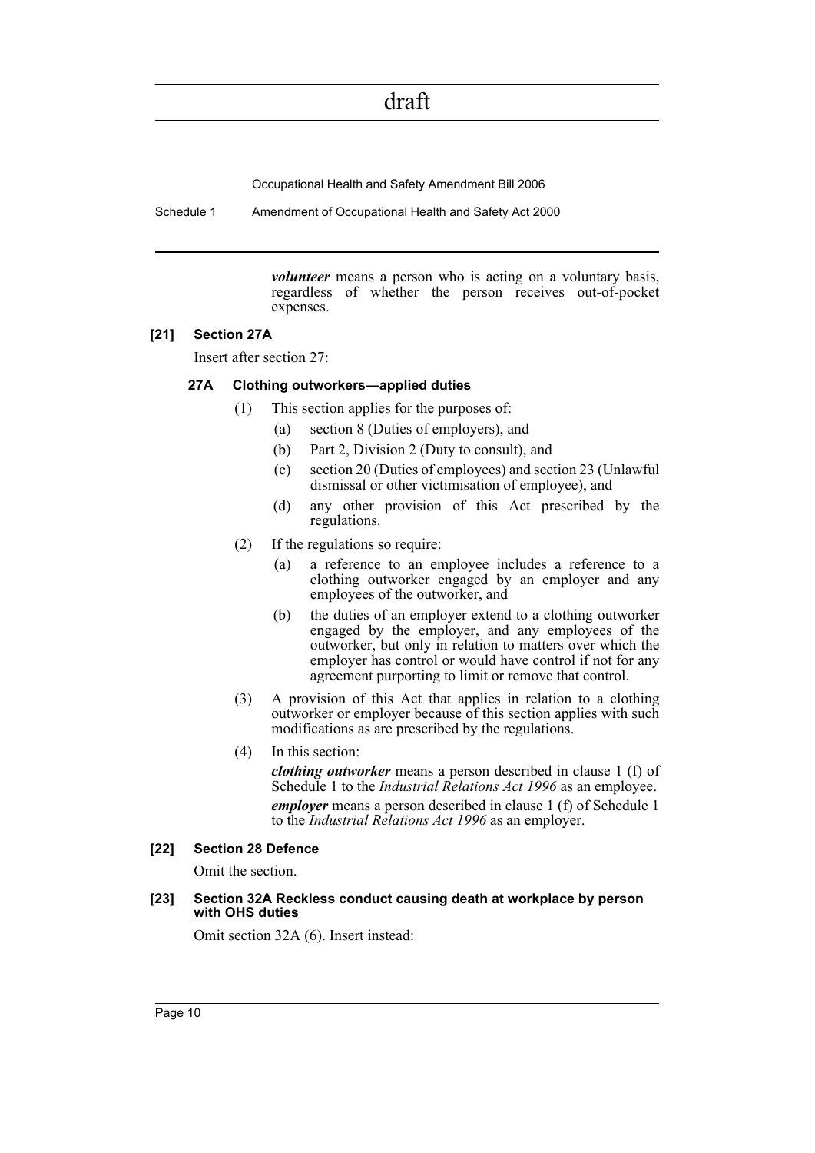Occupational Health and Safety Amendment Bill 2006

Schedule 1 Amendment of Occupational Health and Safety Act 2000

*volunteer* means a person who is acting on a voluntary basis, regardless of whether the person receives out-of-pocket expenses.

#### **[21] Section 27A**

Insert after section 27:

#### **27A Clothing outworkers—applied duties**

- (1) This section applies for the purposes of:
	- (a) section 8 (Duties of employers), and
	- (b) Part 2, Division 2 (Duty to consult), and
	- (c) section 20 (Duties of employees) and section 23 (Unlawful dismissal or other victimisation of employee), and
	- (d) any other provision of this Act prescribed by the regulations.
- (2) If the regulations so require:
	- (a) a reference to an employee includes a reference to a clothing outworker engaged by an employer and any employees of the outworker, and
	- (b) the duties of an employer extend to a clothing outworker engaged by the employer, and any employees of the outworker, but only in relation to matters over which the employer has control or would have control if not for any agreement purporting to limit or remove that control.
- (3) A provision of this Act that applies in relation to a clothing outworker or employer because of this section applies with such modifications as are prescribed by the regulations.
- (4) In this section:

*clothing outworker* means a person described in clause 1 (f) of Schedule 1 to the *Industrial Relations Act 1996* as an employee. *employer* means a person described in clause 1 (f) of Schedule 1 to the *Industrial Relations Act 1996* as an employer.

#### **[22] Section 28 Defence**

Omit the section.

#### **[23] Section 32A Reckless conduct causing death at workplace by person with OHS duties**

Omit section 32A (6). Insert instead: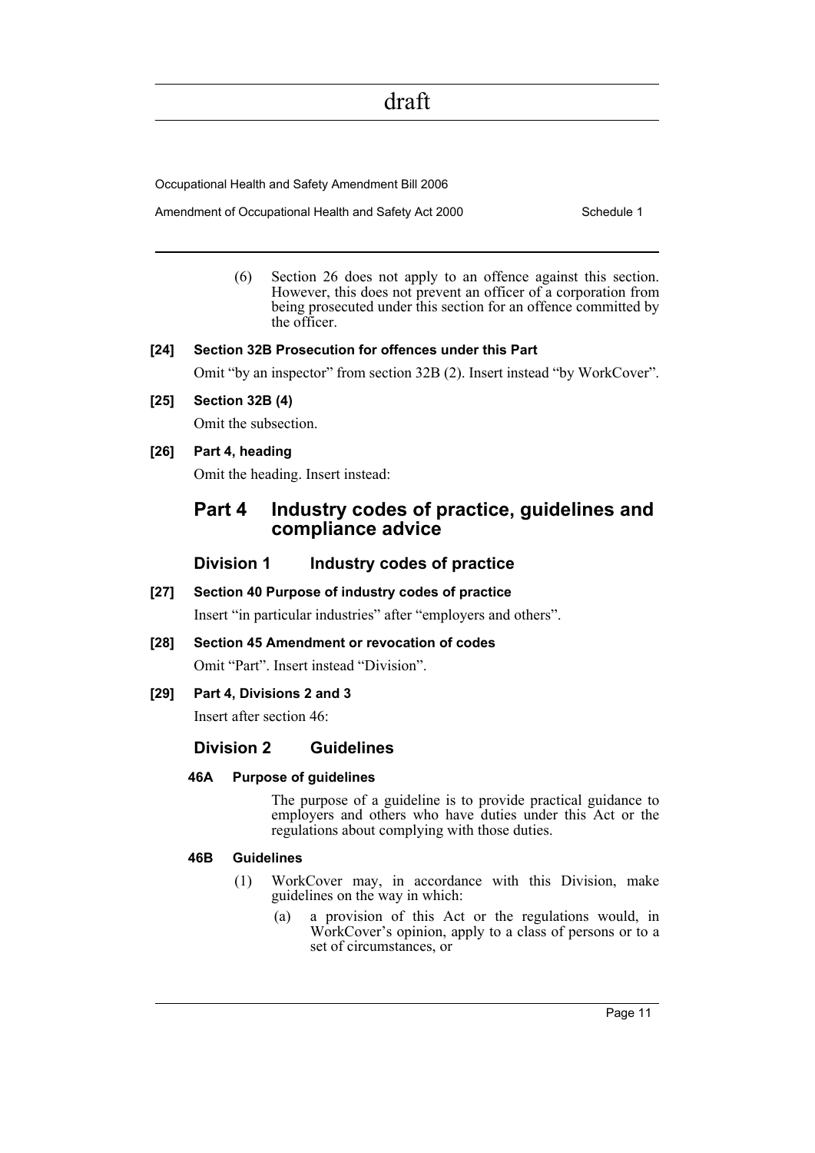Occupational Health and Safety Amendment Bill 2006

Amendment of Occupational Health and Safety Act 2000 Schedule 1

(6) Section 26 does not apply to an offence against this section. However, this does not prevent an officer of a corporation from being prosecuted under this section for an offence committed by the officer.

#### **[24] Section 32B Prosecution for offences under this Part**

Omit "by an inspector" from section 32B (2). Insert instead "by WorkCover".

**[25] Section 32B (4)**

Omit the subsection.

#### **[26] Part 4, heading**

Omit the heading. Insert instead:

### **Part 4 Industry codes of practice, guidelines and compliance advice**

#### **Division 1 Industry codes of practice**

**[27] Section 40 Purpose of industry codes of practice**

Insert "in particular industries" after "employers and others".

#### **[28] Section 45 Amendment or revocation of codes**

Omit "Part". Insert instead "Division".

#### **[29] Part 4, Divisions 2 and 3**

Insert after section 46:

### **Division 2 Guidelines**

#### **46A Purpose of guidelines**

The purpose of a guideline is to provide practical guidance to employers and others who have duties under this Act or the regulations about complying with those duties.

#### **46B Guidelines**

- (1) WorkCover may, in accordance with this Division, make guidelines on the way in which:
	- (a) a provision of this Act or the regulations would, in WorkCover's opinion, apply to a class of persons or to a set of circumstances, or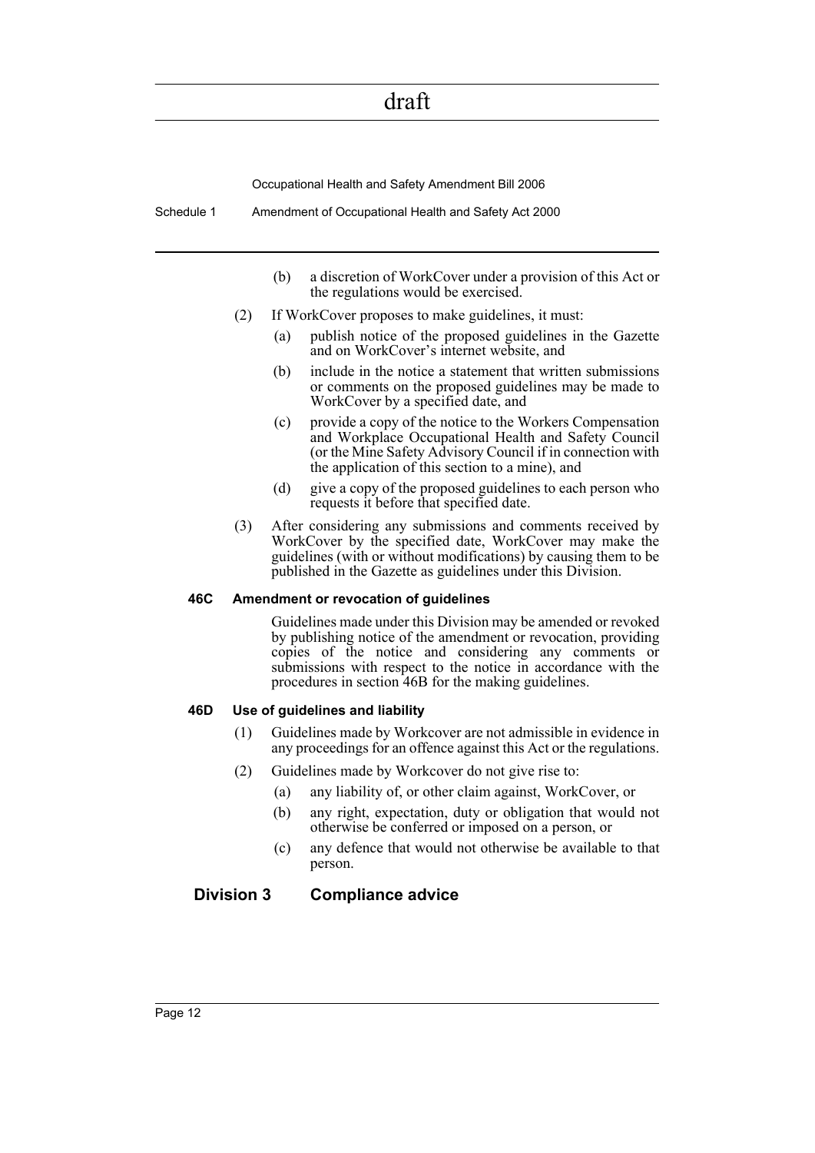Occupational Health and Safety Amendment Bill 2006

Schedule 1 Amendment of Occupational Health and Safety Act 2000

- (b) a discretion of WorkCover under a provision of this Act or the regulations would be exercised.
- (2) If WorkCover proposes to make guidelines, it must:
	- (a) publish notice of the proposed guidelines in the Gazette and on WorkCover's internet website, and
	- (b) include in the notice a statement that written submissions or comments on the proposed guidelines may be made to WorkCover by a specified date, and
	- (c) provide a copy of the notice to the Workers Compensation and Workplace Occupational Health and Safety Council (or the Mine Safety Advisory Council if in connection with the application of this section to a mine), and
	- (d) give a copy of the proposed guidelines to each person who requests it before that specified date.
- (3) After considering any submissions and comments received by WorkCover by the specified date, WorkCover may make the guidelines (with or without modifications) by causing them to be published in the Gazette as guidelines under this Division.

#### **46C Amendment or revocation of guidelines**

Guidelines made under this Division may be amended or revoked by publishing notice of the amendment or revocation, providing copies of the notice and considering any comments or submissions with respect to the notice in accordance with the procedures in section 46B for the making guidelines.

#### **46D Use of guidelines and liability**

- (1) Guidelines made by Workcover are not admissible in evidence in any proceedings for an offence against this Act or the regulations.
- (2) Guidelines made by Workcover do not give rise to:
	- (a) any liability of, or other claim against, WorkCover, or
	- (b) any right, expectation, duty or obligation that would not otherwise be conferred or imposed on a person, or
	- (c) any defence that would not otherwise be available to that person.

#### **Division 3 Compliance advice**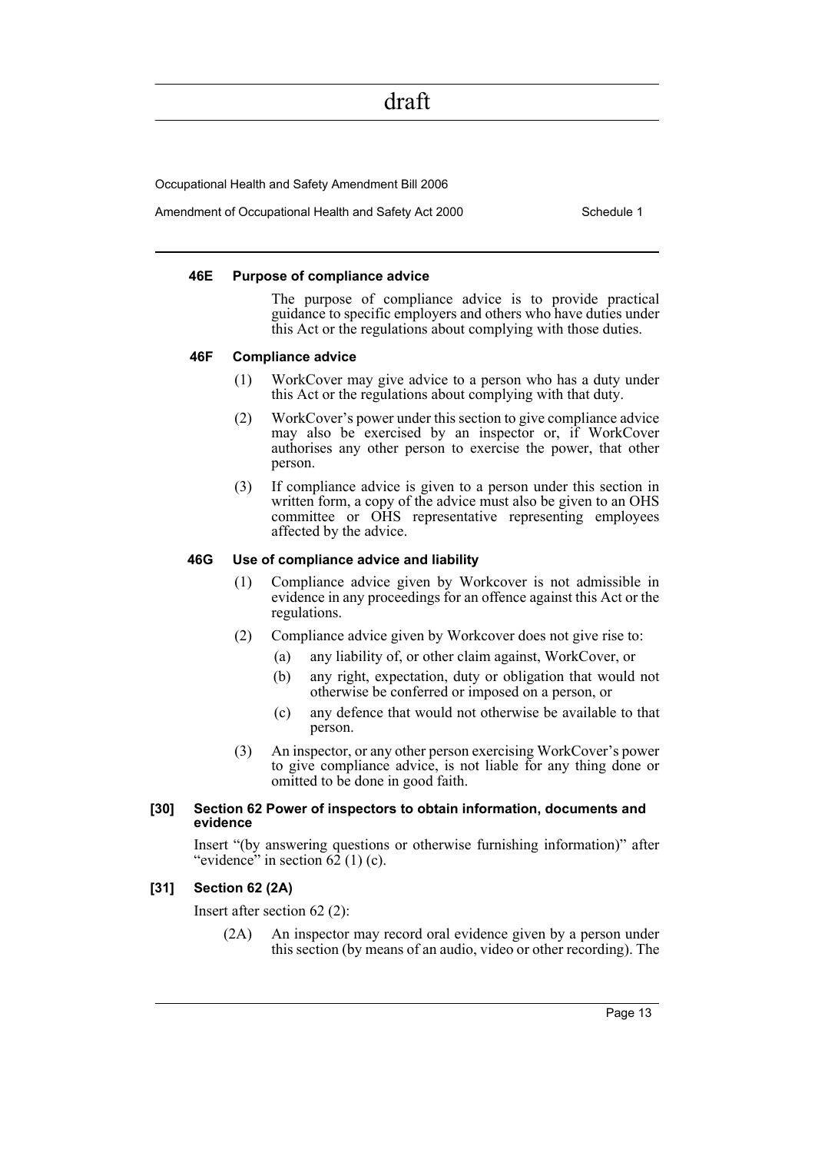Occupational Health and Safety Amendment Bill 2006

Amendment of Occupational Health and Safety Act 2000 Schedule 1

#### **46E Purpose of compliance advice**

The purpose of compliance advice is to provide practical guidance to specific employers and others who have duties under this Act or the regulations about complying with those duties.

#### **46F Compliance advice**

- (1) WorkCover may give advice to a person who has a duty under this Act or the regulations about complying with that duty.
- (2) WorkCover's power under this section to give compliance advice may also be exercised by an inspector or, if WorkCover authorises any other person to exercise the power, that other person.
- (3) If compliance advice is given to a person under this section in written form, a copy of the advice must also be given to an OHS committee or OHS representative representing employees affected by the advice.

#### **46G Use of compliance advice and liability**

- (1) Compliance advice given by Workcover is not admissible in evidence in any proceedings for an offence against this Act or the regulations.
- (2) Compliance advice given by Workcover does not give rise to:
	- (a) any liability of, or other claim against, WorkCover, or
	- (b) any right, expectation, duty or obligation that would not otherwise be conferred or imposed on a person, or
	- (c) any defence that would not otherwise be available to that person.
- (3) An inspector, or any other person exercising WorkCover's power to give compliance advice, is not liable for any thing done or omitted to be done in good faith.

#### **[30] Section 62 Power of inspectors to obtain information, documents and evidence**

Insert "(by answering questions or otherwise furnishing information)" after "evidence" in section  $62$  (1) (c).

#### **[31] Section 62 (2A)**

Insert after section 62 (2):

(2A) An inspector may record oral evidence given by a person under this section (by means of an audio, video or other recording). The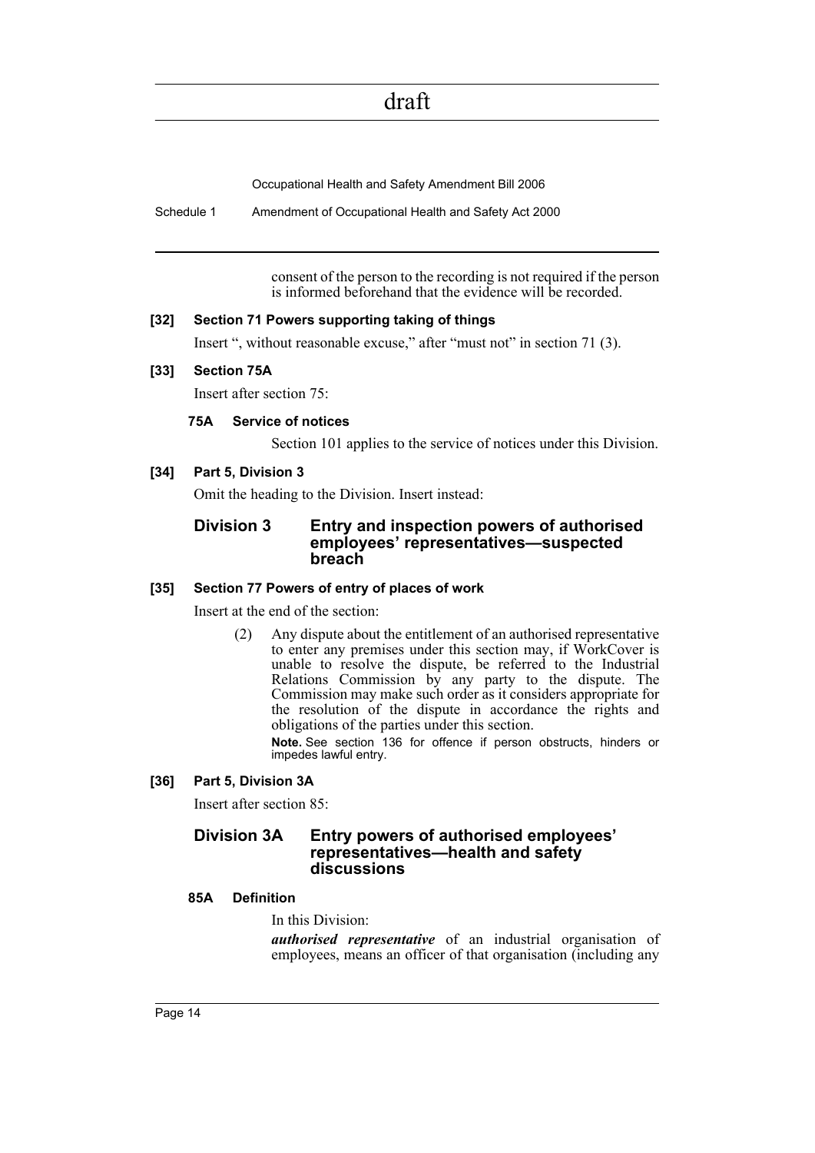Occupational Health and Safety Amendment Bill 2006

Schedule 1 Amendment of Occupational Health and Safety Act 2000

consent of the person to the recording is not required if the person is informed beforehand that the evidence will be recorded.

#### **[32] Section 71 Powers supporting taking of things**

Insert ", without reasonable excuse," after "must not" in section 71 (3).

#### **[33] Section 75A**

Insert after section 75:

#### **75A Service of notices**

Section 101 applies to the service of notices under this Division.

#### **[34] Part 5, Division 3**

Omit the heading to the Division. Insert instead:

#### **Division 3 Entry and inspection powers of authorised employees' representatives—suspected breach**

#### **[35] Section 77 Powers of entry of places of work**

Insert at the end of the section:

(2) Any dispute about the entitlement of an authorised representative to enter any premises under this section may, if WorkCover is unable to resolve the dispute, be referred to the Industrial Relations Commission by any party to the dispute. The Commission may make such order as it considers appropriate for the resolution of the dispute in accordance the rights and obligations of the parties under this section.

**Note.** See section 136 for offence if person obstructs, hinders or impedes lawful entry.

#### **[36] Part 5, Division 3A**

Insert after section 85:

#### **Division 3A Entry powers of authorised employees' representatives—health and safety discussions**

#### **85A Definition**

In this Division:

*authorised representative* of an industrial organisation of employees, means an officer of that organisation (including any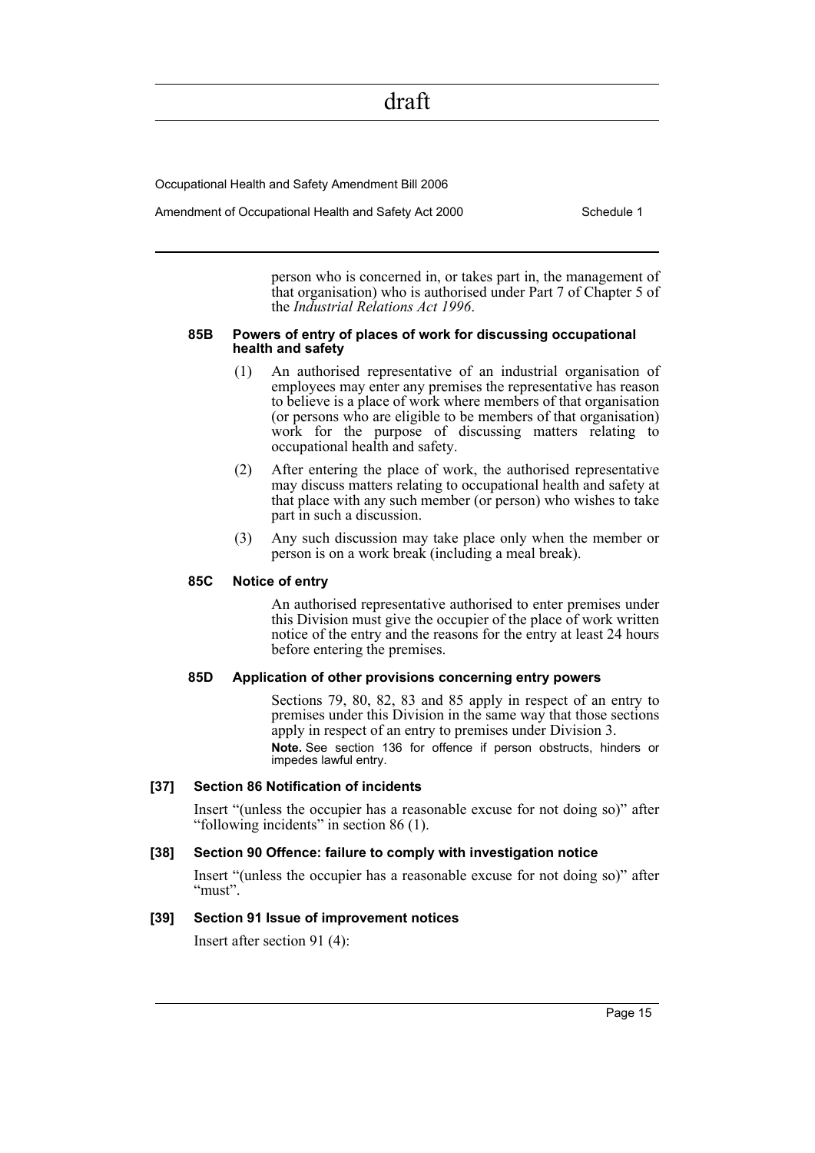Occupational Health and Safety Amendment Bill 2006

Amendment of Occupational Health and Safety Act 2000 Schedule 1

person who is concerned in, or takes part in, the management of that organisation) who is authorised under Part 7 of Chapter 5 of the *Industrial Relations Act 1996*.

#### **85B Powers of entry of places of work for discussing occupational health and safety**

- (1) An authorised representative of an industrial organisation of employees may enter any premises the representative has reason to believe is a place of work where members of that organisation (or persons who are eligible to be members of that organisation) work for the purpose of discussing matters relating to occupational health and safety.
- (2) After entering the place of work, the authorised representative may discuss matters relating to occupational health and safety at that place with any such member (or person) who wishes to take part in such a discussion.
- (3) Any such discussion may take place only when the member or person is on a work break (including a meal break).

#### **85C Notice of entry**

An authorised representative authorised to enter premises under this Division must give the occupier of the place of work written notice of the entry and the reasons for the entry at least 24 hours before entering the premises.

#### **85D Application of other provisions concerning entry powers**

Sections 79, 80, 82, 83 and 85 apply in respect of an entry to premises under this Division in the same way that those sections apply in respect of an entry to premises under Division 3.

**Note.** See section 136 for offence if person obstructs, hinders or impedes lawful entry.

#### **[37] Section 86 Notification of incidents**

Insert "(unless the occupier has a reasonable excuse for not doing so)" after "following incidents" in section 86 (1).

#### **[38] Section 90 Offence: failure to comply with investigation notice**

Insert "(unless the occupier has a reasonable excuse for not doing so)" after "must".

#### **[39] Section 91 Issue of improvement notices**

Insert after section 91 (4):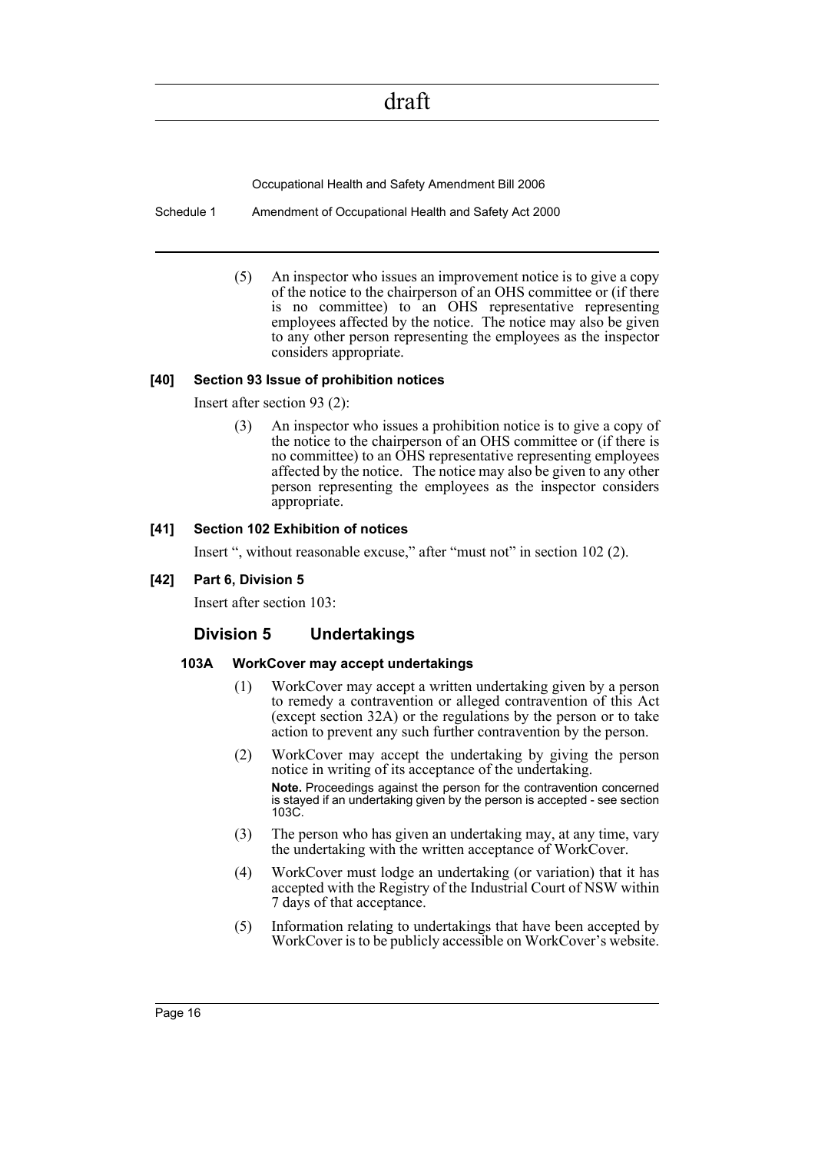Occupational Health and Safety Amendment Bill 2006

Schedule 1 Amendment of Occupational Health and Safety Act 2000

(5) An inspector who issues an improvement notice is to give a copy of the notice to the chairperson of an OHS committee or (if there is no committee) to an OHS representative representing employees affected by the notice. The notice may also be given to any other person representing the employees as the inspector considers appropriate.

#### **[40] Section 93 Issue of prohibition notices**

Insert after section 93 (2):

(3) An inspector who issues a prohibition notice is to give a copy of the notice to the chairperson of an OHS committee or (if there is no committee) to an OHS representative representing employees affected by the notice. The notice may also be given to any other person representing the employees as the inspector considers appropriate.

#### **[41] Section 102 Exhibition of notices**

Insert ", without reasonable excuse," after "must not" in section 102 (2).

**[42] Part 6, Division 5**

Insert after section 103:

#### **Division 5 Undertakings**

#### **103A WorkCover may accept undertakings**

- (1) WorkCover may accept a written undertaking given by a person to remedy a contravention or alleged contravention of this Act (except section 32A) or the regulations by the person or to take action to prevent any such further contravention by the person.
- (2) WorkCover may accept the undertaking by giving the person notice in writing of its acceptance of the undertaking. **Note.** Proceedings against the person for the contravention concerned is stayed if an undertaking given by the person is accepted - see section 103C.
- (3) The person who has given an undertaking may, at any time, vary the undertaking with the written acceptance of WorkCover.
- (4) WorkCover must lodge an undertaking (or variation) that it has accepted with the Registry of the Industrial Court of NSW within 7 days of that acceptance.
- (5) Information relating to undertakings that have been accepted by WorkCover is to be publicly accessible on WorkCover's website.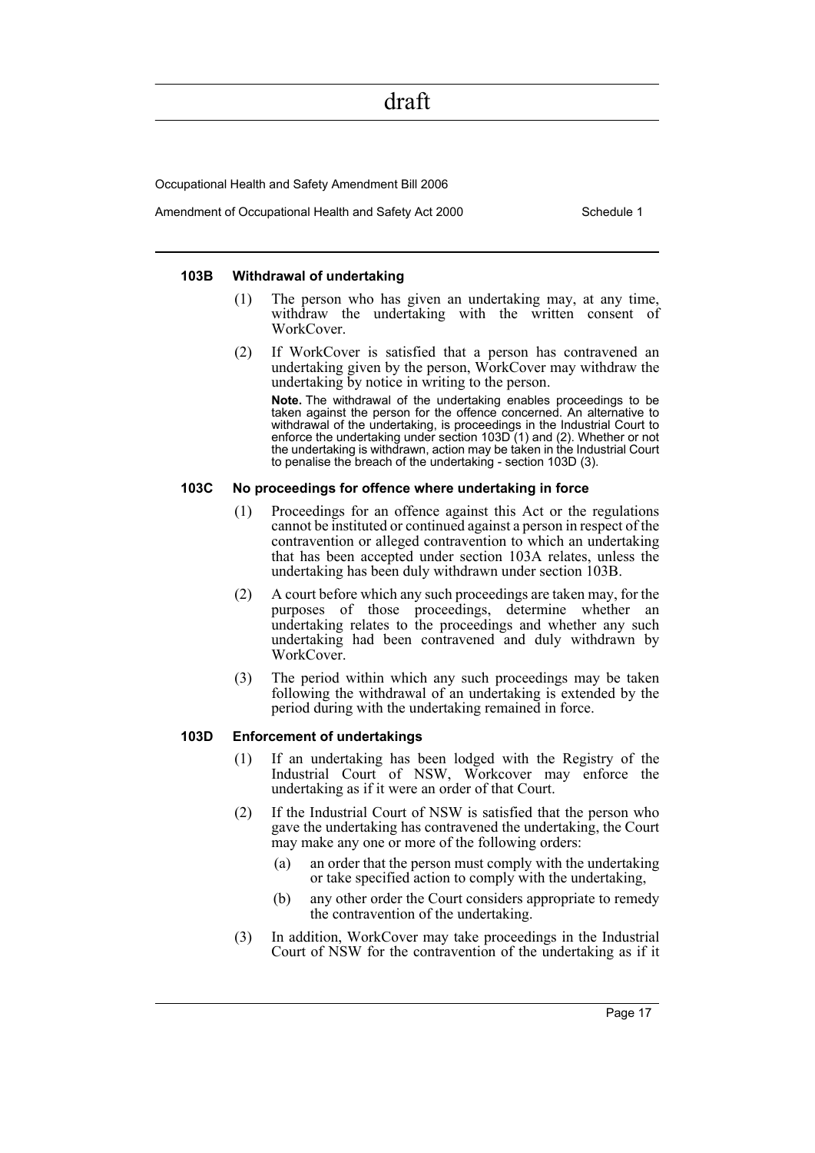Occupational Health and Safety Amendment Bill 2006

Amendment of Occupational Health and Safety Act 2000 Schedule 1

#### **103B Withdrawal of undertaking**

- (1) The person who has given an undertaking may, at any time, withdraw the undertaking with the written consent of WorkCover.
- (2) If WorkCover is satisfied that a person has contravened an undertaking given by the person, WorkCover may withdraw the undertaking by notice in writing to the person.

**Note.** The withdrawal of the undertaking enables proceedings to be taken against the person for the offence concerned. An alternative to withdrawal of the undertaking, is proceedings in the Industrial Court to enforce the undertaking under section 103D (1) and (2). Whether or not the undertaking is withdrawn, action may be taken in the Industrial Court to penalise the breach of the undertaking - section 103D (3).

#### **103C No proceedings for offence where undertaking in force**

- (1) Proceedings for an offence against this Act or the regulations cannot be instituted or continued against a person in respect of the contravention or alleged contravention to which an undertaking that has been accepted under section 103A relates, unless the undertaking has been duly withdrawn under section 103B.
- (2) A court before which any such proceedings are taken may, for the purposes of those proceedings, determine whether an undertaking relates to the proceedings and whether any such undertaking had been contravened and duly withdrawn by WorkCover.
- (3) The period within which any such proceedings may be taken following the withdrawal of an undertaking is extended by the period during with the undertaking remained in force.

#### **103D Enforcement of undertakings**

- (1) If an undertaking has been lodged with the Registry of the Industrial Court of NSW, Workcover may enforce the undertaking as if it were an order of that Court.
- (2) If the Industrial Court of NSW is satisfied that the person who gave the undertaking has contravened the undertaking, the Court may make any one or more of the following orders:
	- (a) an order that the person must comply with the undertaking or take specified action to comply with the undertaking,
	- (b) any other order the Court considers appropriate to remedy the contravention of the undertaking.
- (3) In addition, WorkCover may take proceedings in the Industrial Court of NSW for the contravention of the undertaking as if it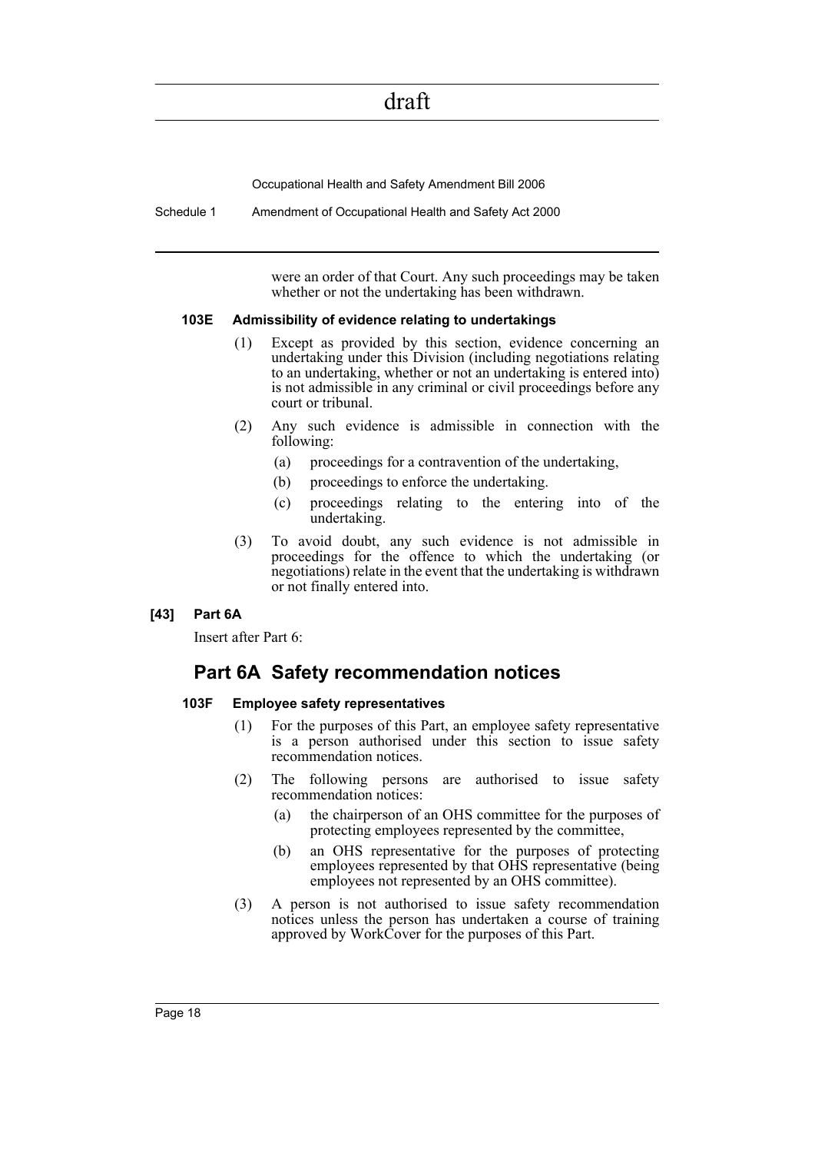Occupational Health and Safety Amendment Bill 2006

Schedule 1 Amendment of Occupational Health and Safety Act 2000

were an order of that Court. Any such proceedings may be taken whether or not the undertaking has been withdrawn.

#### **103E Admissibility of evidence relating to undertakings**

- (1) Except as provided by this section, evidence concerning an undertaking under this Division (including negotiations relating to an undertaking, whether or not an undertaking is entered into) is not admissible in any criminal or civil proceedings before any court or tribunal.
- (2) Any such evidence is admissible in connection with the following:
	- (a) proceedings for a contravention of the undertaking,
	- (b) proceedings to enforce the undertaking.
	- (c) proceedings relating to the entering into of the undertaking.
- (3) To avoid doubt, any such evidence is not admissible in proceedings for the offence to which the undertaking (or negotiations) relate in the event that the undertaking is withdrawn or not finally entered into.

#### **[43] Part 6A**

Insert after Part 6:

### **Part 6A Safety recommendation notices**

#### **103F Employee safety representatives**

- (1) For the purposes of this Part, an employee safety representative is a person authorised under this section to issue safety recommendation notices.
- (2) The following persons are authorised to issue safety recommendation notices:
	- (a) the chairperson of an OHS committee for the purposes of protecting employees represented by the committee,
	- (b) an OHS representative for the purposes of protecting employees represented by that OHS representative (being employees not represented by an OHS committee).
- (3) A person is not authorised to issue safety recommendation notices unless the person has undertaken a course of training approved by WorkCover for the purposes of this Part.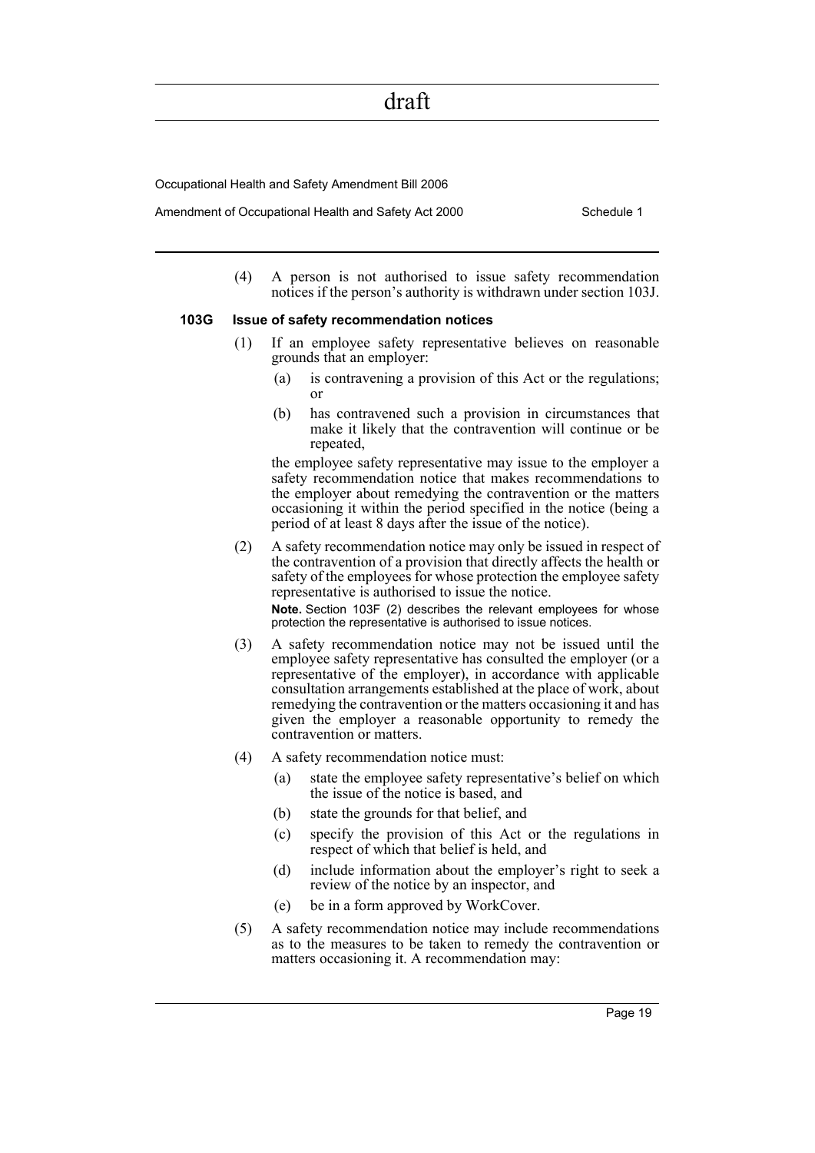Occupational Health and Safety Amendment Bill 2006

Amendment of Occupational Health and Safety Act 2000 Schedule 1

(4) A person is not authorised to issue safety recommendation notices if the person's authority is withdrawn under section 103J.

#### **103G Issue of safety recommendation notices**

- (1) If an employee safety representative believes on reasonable grounds that an employer:
	- (a) is contravening a provision of this Act or the regulations; or
	- (b) has contravened such a provision in circumstances that make it likely that the contravention will continue or be repeated,

the employee safety representative may issue to the employer a safety recommendation notice that makes recommendations to the employer about remedying the contravention or the matters occasioning it within the period specified in the notice (being a period of at least 8 days after the issue of the notice).

(2) A safety recommendation notice may only be issued in respect of the contravention of a provision that directly affects the health or safety of the employees for whose protection the employee safety representative is authorised to issue the notice.

**Note.** Section 103F (2) describes the relevant employees for whose protection the representative is authorised to issue notices.

- (3) A safety recommendation notice may not be issued until the employee safety representative has consulted the employer (or a representative of the employer), in accordance with applicable consultation arrangements established at the place of work, about remedying the contravention or the matters occasioning it and has given the employer a reasonable opportunity to remedy the contravention or matters.
- (4) A safety recommendation notice must:
	- (a) state the employee safety representative's belief on which the issue of the notice is based, and
	- (b) state the grounds for that belief, and
	- (c) specify the provision of this Act or the regulations in respect of which that belief is held, and
	- (d) include information about the employer's right to seek a review of the notice by an inspector, and
	- (e) be in a form approved by WorkCover.
- (5) A safety recommendation notice may include recommendations as to the measures to be taken to remedy the contravention or matters occasioning it. A recommendation may: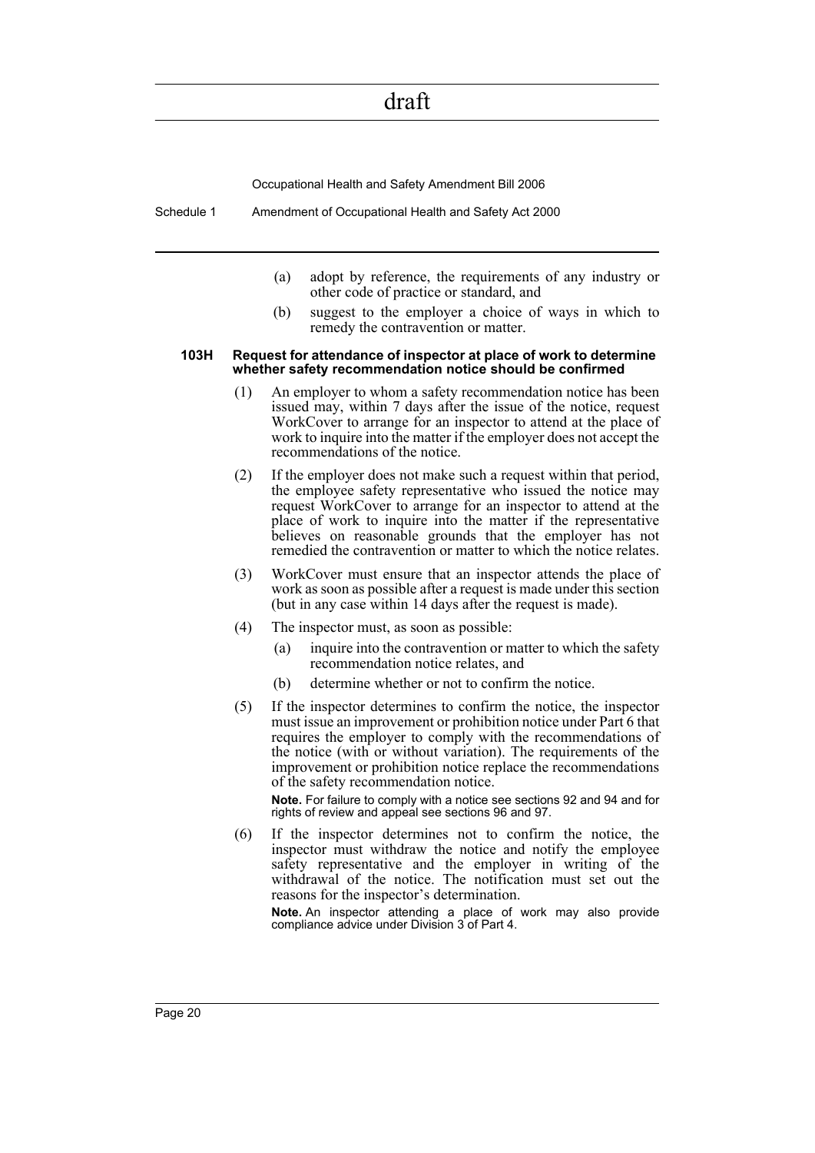Occupational Health and Safety Amendment Bill 2006

Schedule 1 Amendment of Occupational Health and Safety Act 2000

- (a) adopt by reference, the requirements of any industry or other code of practice or standard, and
- (b) suggest to the employer a choice of ways in which to remedy the contravention or matter.

#### **103H Request for attendance of inspector at place of work to determine whether safety recommendation notice should be confirmed**

- (1) An employer to whom a safety recommendation notice has been issued may, within 7 days after the issue of the notice, request WorkCover to arrange for an inspector to attend at the place of work to inquire into the matter if the employer does not accept the recommendations of the notice.
- (2) If the employer does not make such a request within that period, the employee safety representative who issued the notice may request WorkCover to arrange for an inspector to attend at the place of work to inquire into the matter if the representative believes on reasonable grounds that the employer has not remedied the contravention or matter to which the notice relates.
- (3) WorkCover must ensure that an inspector attends the place of work as soon as possible after a request is made under this section (but in any case within 14 days after the request is made).
- (4) The inspector must, as soon as possible:
	- (a) inquire into the contravention or matter to which the safety recommendation notice relates, and
	- (b) determine whether or not to confirm the notice.
- (5) If the inspector determines to confirm the notice, the inspector must issue an improvement or prohibition notice under Part 6 that requires the employer to comply with the recommendations of the notice (with or without variation). The requirements of the improvement or prohibition notice replace the recommendations of the safety recommendation notice.

**Note.** For failure to comply with a notice see sections 92 and 94 and for rights of review and appeal see sections 96 and 97.

(6) If the inspector determines not to confirm the notice, the inspector must withdraw the notice and notify the employee safety representative and the employer in writing of the withdrawal of the notice. The notification must set out the reasons for the inspector's determination.

**Note.** An inspector attending a place of work may also provide compliance advice under Division 3 of Part 4.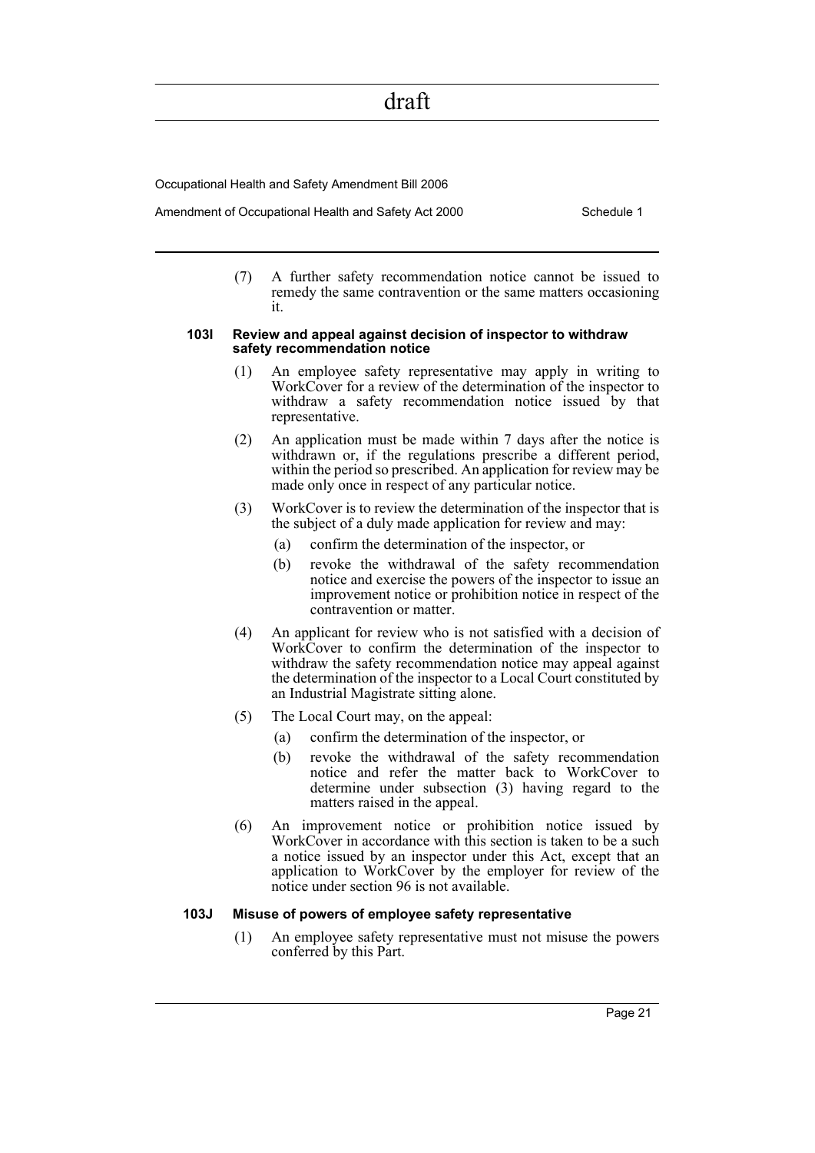Occupational Health and Safety Amendment Bill 2006

Amendment of Occupational Health and Safety Act 2000 Schedule 1

(7) A further safety recommendation notice cannot be issued to remedy the same contravention or the same matters occasioning it.

#### **103I Review and appeal against decision of inspector to withdraw safety recommendation notice**

- (1) An employee safety representative may apply in writing to WorkCover for a review of the determination of the inspector to withdraw a safety recommendation notice issued by that representative.
- (2) An application must be made within 7 days after the notice is withdrawn or, if the regulations prescribe a different period, within the period so prescribed. An application for review may be made only once in respect of any particular notice.
- (3) WorkCover is to review the determination of the inspector that is the subject of a duly made application for review and may:
	- (a) confirm the determination of the inspector, or
	- (b) revoke the withdrawal of the safety recommendation notice and exercise the powers of the inspector to issue an improvement notice or prohibition notice in respect of the contravention or matter.
- (4) An applicant for review who is not satisfied with a decision of WorkCover to confirm the determination of the inspector to withdraw the safety recommendation notice may appeal against the determination of the inspector to a Local Court constituted by an Industrial Magistrate sitting alone.
- (5) The Local Court may, on the appeal:
	- (a) confirm the determination of the inspector, or
	- (b) revoke the withdrawal of the safety recommendation notice and refer the matter back to WorkCover to determine under subsection (3) having regard to the matters raised in the appeal.
- (6) An improvement notice or prohibition notice issued by WorkCover in accordance with this section is taken to be a such a notice issued by an inspector under this Act, except that an application to WorkCover by the employer for review of the notice under section 96 is not available.

#### **103J Misuse of powers of employee safety representative**

(1) An employee safety representative must not misuse the powers conferred by this Part.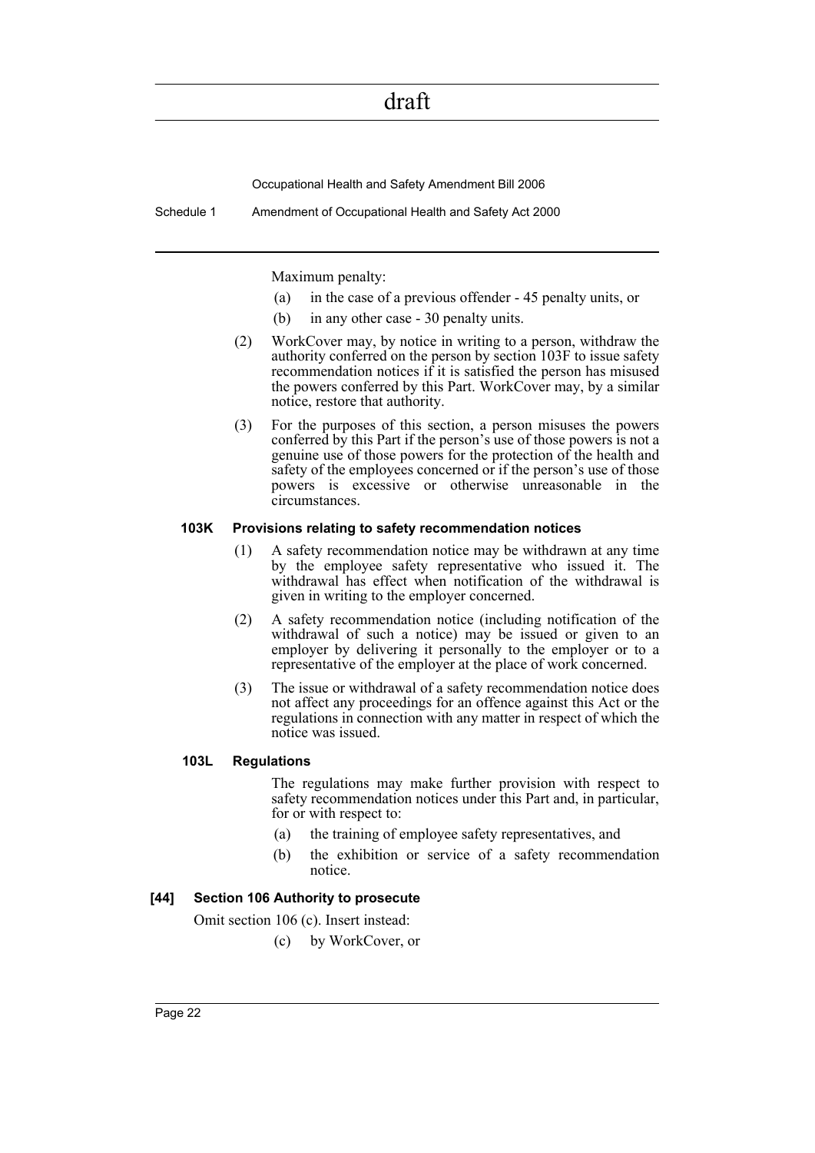Occupational Health and Safety Amendment Bill 2006

Schedule 1 Amendment of Occupational Health and Safety Act 2000

Maximum penalty:

- (a) in the case of a previous offender 45 penalty units, or
- (b) in any other case 30 penalty units.
- (2) WorkCover may, by notice in writing to a person, withdraw the authority conferred on the person by section 103F to issue safety recommendation notices if it is satisfied the person has misused the powers conferred by this Part. WorkCover may, by a similar notice, restore that authority.
- (3) For the purposes of this section, a person misuses the powers conferred by this Part if the person's use of those powers is not a genuine use of those powers for the protection of the health and safety of the employees concerned or if the person's use of those powers is excessive or otherwise unreasonable in the circumstances.

#### **103K Provisions relating to safety recommendation notices**

- (1) A safety recommendation notice may be withdrawn at any time by the employee safety representative who issued it. The withdrawal has effect when notification of the withdrawal is given in writing to the employer concerned.
- (2) A safety recommendation notice (including notification of the withdrawal of such a notice) may be issued or given to an employer by delivering it personally to the employer or to a representative of the employer at the place of work concerned.
- (3) The issue or withdrawal of a safety recommendation notice does not affect any proceedings for an offence against this Act or the regulations in connection with any matter in respect of which the notice was issued.

#### **103L Regulations**

The regulations may make further provision with respect to safety recommendation notices under this Part and, in particular, for or with respect to:

- (a) the training of employee safety representatives, and
- (b) the exhibition or service of a safety recommendation notice.

#### **[44] Section 106 Authority to prosecute**

Omit section 106 (c). Insert instead:

(c) by WorkCover, or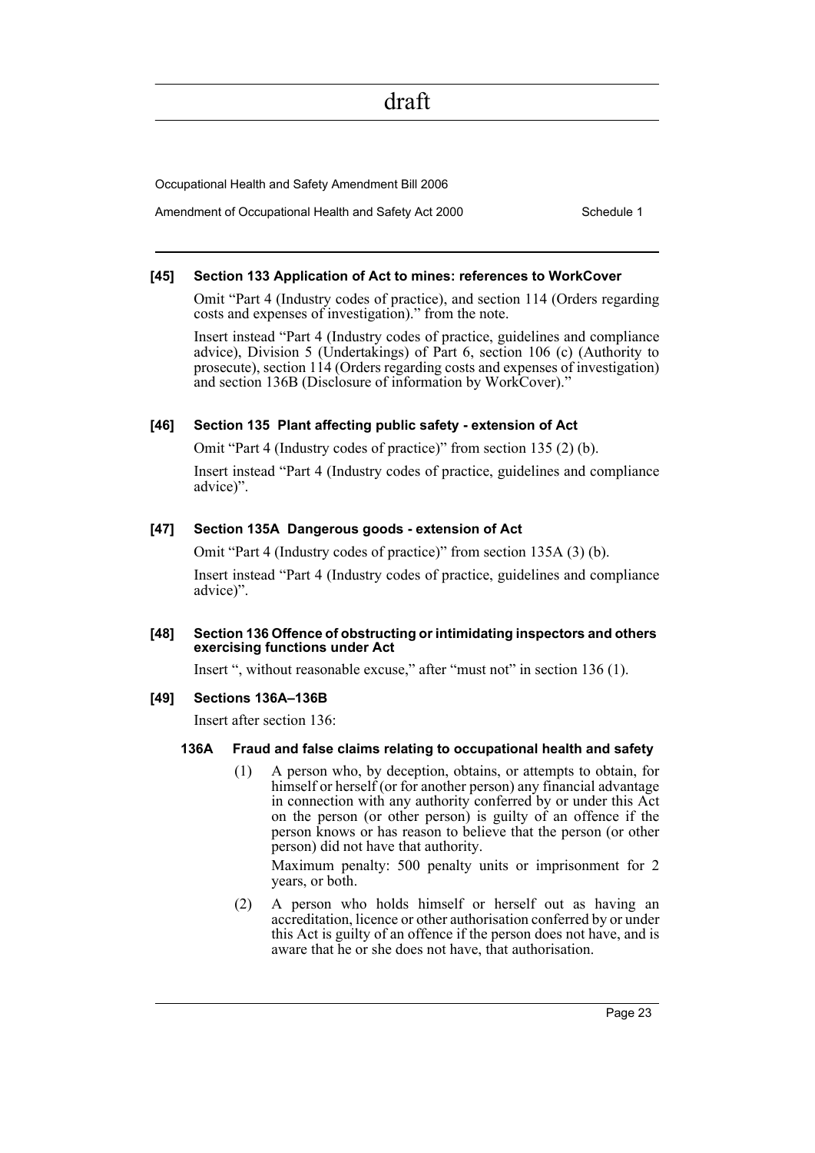Occupational Health and Safety Amendment Bill 2006

Amendment of Occupational Health and Safety Act 2000 Schedule 1

#### **[45] Section 133 Application of Act to mines: references to WorkCover**

Omit "Part 4 (Industry codes of practice), and section 114 (Orders regarding costs and expenses of investigation)." from the note.

Insert instead "Part 4 (Industry codes of practice, guidelines and compliance advice), Division 5 (Undertakings) of Part 6, section 106 (c) (Authority to prosecute), section 114 (Orders regarding costs and expenses of investigation) and section 136B (Disclosure of information by WorkCover)."

#### **[46] Section 135 Plant affecting public safety - extension of Act**

Omit "Part 4 (Industry codes of practice)" from section 135 (2) (b).

Insert instead "Part 4 (Industry codes of practice, guidelines and compliance advice)".

#### **[47] Section 135A Dangerous goods - extension of Act**

Omit "Part 4 (Industry codes of practice)" from section 135A (3) (b).

Insert instead "Part 4 (Industry codes of practice, guidelines and compliance advice)".

#### **[48] Section 136 Offence of obstructing or intimidating inspectors and others exercising functions under Act**

Insert ", without reasonable excuse," after "must not" in section 136 (1).

#### **[49] Sections 136A–136B**

Insert after section 136:

#### **136A Fraud and false claims relating to occupational health and safety**

(1) A person who, by deception, obtains, or attempts to obtain, for himself or herself (or for another person) any financial advantage in connection with any authority conferred by or under this Act on the person (or other person) is guilty of an offence if the person knows or has reason to believe that the person (or other person) did not have that authority.

Maximum penalty: 500 penalty units or imprisonment for 2 years, or both.

(2) A person who holds himself or herself out as having an accreditation, licence or other authorisation conferred by or under this Act is guilty of an offence if the person does not have, and is aware that he or she does not have, that authorisation.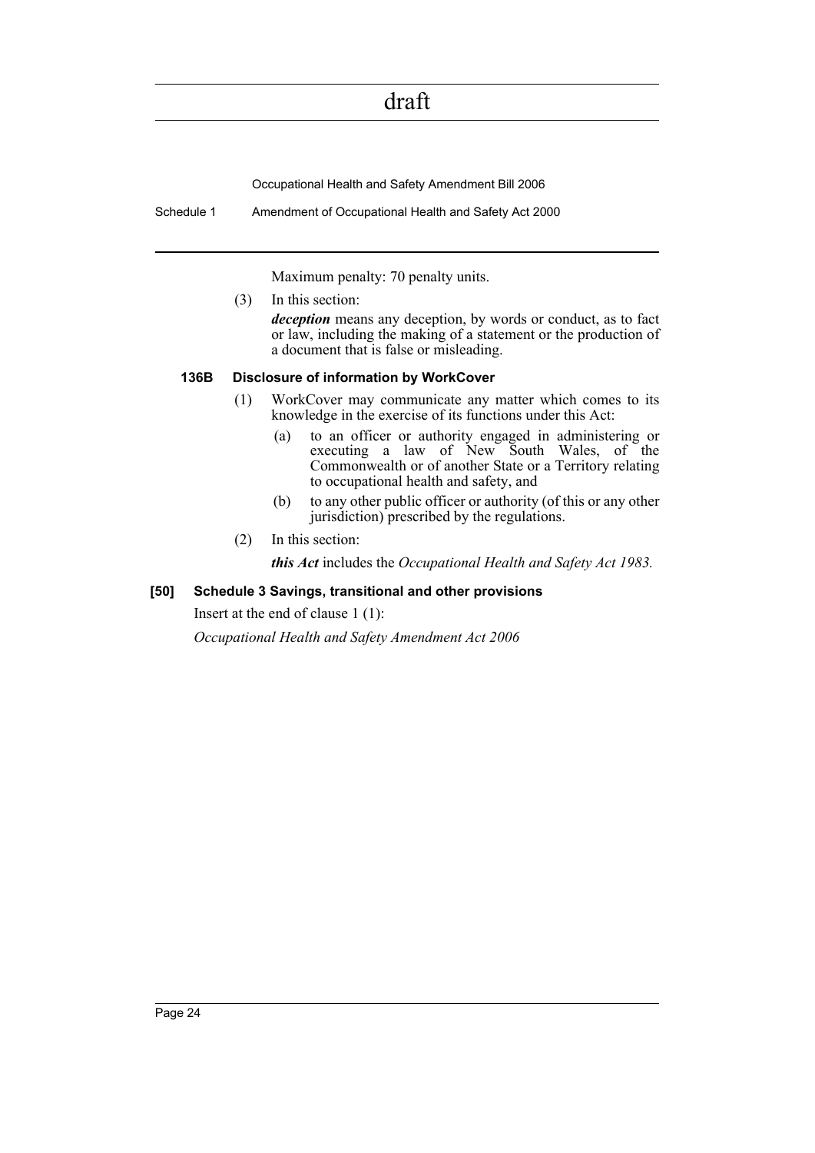Occupational Health and Safety Amendment Bill 2006

Schedule 1 Amendment of Occupational Health and Safety Act 2000

Maximum penalty: 70 penalty units.

(3) In this section:

*deception* means any deception, by words or conduct, as to fact or law, including the making of a statement or the production of a document that is false or misleading.

#### **136B Disclosure of information by WorkCover**

- (1) WorkCover may communicate any matter which comes to its knowledge in the exercise of its functions under this Act:
	- (a) to an officer or authority engaged in administering or executing a law of New South Wales, of the Commonwealth or of another State or a Territory relating to occupational health and safety, and
	- (b) to any other public officer or authority (of this or any other jurisdiction) prescribed by the regulations.
- (2) In this section:

*this Act* includes the *Occupational Health and Safety Act 1983.*

#### **[50] Schedule 3 Savings, transitional and other provisions**

Insert at the end of clause 1 (1):

*Occupational Health and Safety Amendment Act 2006*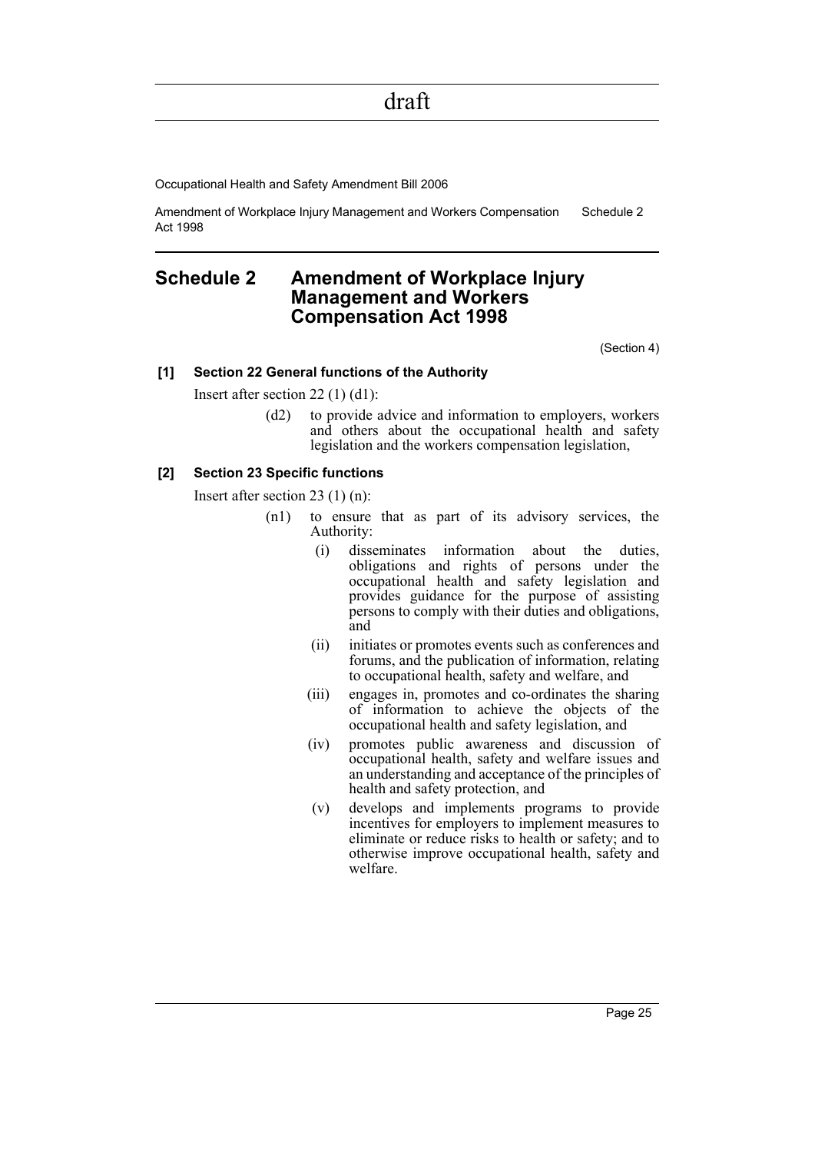Occupational Health and Safety Amendment Bill 2006

Amendment of Workplace Injury Management and Workers Compensation Act 1998 Schedule 2

### <span id="page-26-0"></span>**Schedule 2 Amendment of Workplace Injury Management and Workers Compensation Act 1998**

(Section 4)

#### **[1] Section 22 General functions of the Authority**

Insert after section 22 (1) (d1):

(d2) to provide advice and information to employers, workers and others about the occupational health and safety legislation and the workers compensation legislation,

#### **[2] Section 23 Specific functions**

Insert after section 23 (1) (n):

- (n1) to ensure that as part of its advisory services, the Authority:
	- (i) disseminates information about the duties, obligations and rights of persons under the occupational health and safety legislation and provides guidance for the purpose of assisting persons to comply with their duties and obligations, and
	- (ii) initiates or promotes events such as conferences and forums, and the publication of information, relating to occupational health, safety and welfare, and
	- (iii) engages in, promotes and co-ordinates the sharing of information to achieve the objects of the occupational health and safety legislation, and
	- (iv) promotes public awareness and discussion of occupational health, safety and welfare issues and an understanding and acceptance of the principles of health and safety protection, and
	- (v) develops and implements programs to provide incentives for employers to implement measures to eliminate or reduce risks to health or safety; and to otherwise improve occupational health, safety and welfare.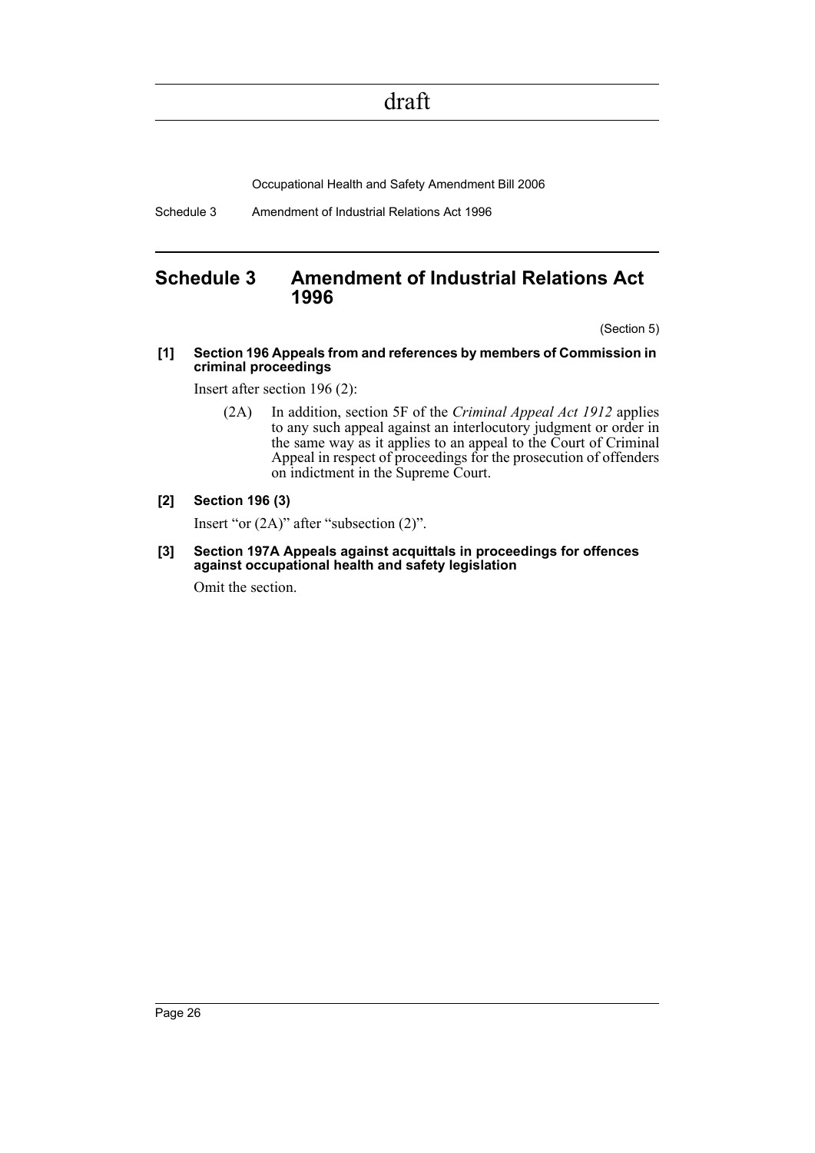Occupational Health and Safety Amendment Bill 2006

Schedule 3 Amendment of Industrial Relations Act 1996

### <span id="page-27-0"></span>**Schedule 3 Amendment of Industrial Relations Act 1996**

(Section 5)

**[1] Section 196 Appeals from and references by members of Commission in criminal proceedings**

Insert after section 196 (2):

(2A) In addition, section 5F of the *Criminal Appeal Act 1912* applies to any such appeal against an interlocutory judgment or order in the same way as it applies to an appeal to the Court of Criminal Appeal in respect of proceedings for the prosecution of offenders on indictment in the Supreme Court.

#### **[2] Section 196 (3)**

Insert "or (2A)" after "subsection (2)".

**[3] Section 197A Appeals against acquittals in proceedings for offences against occupational health and safety legislation**

Omit the section.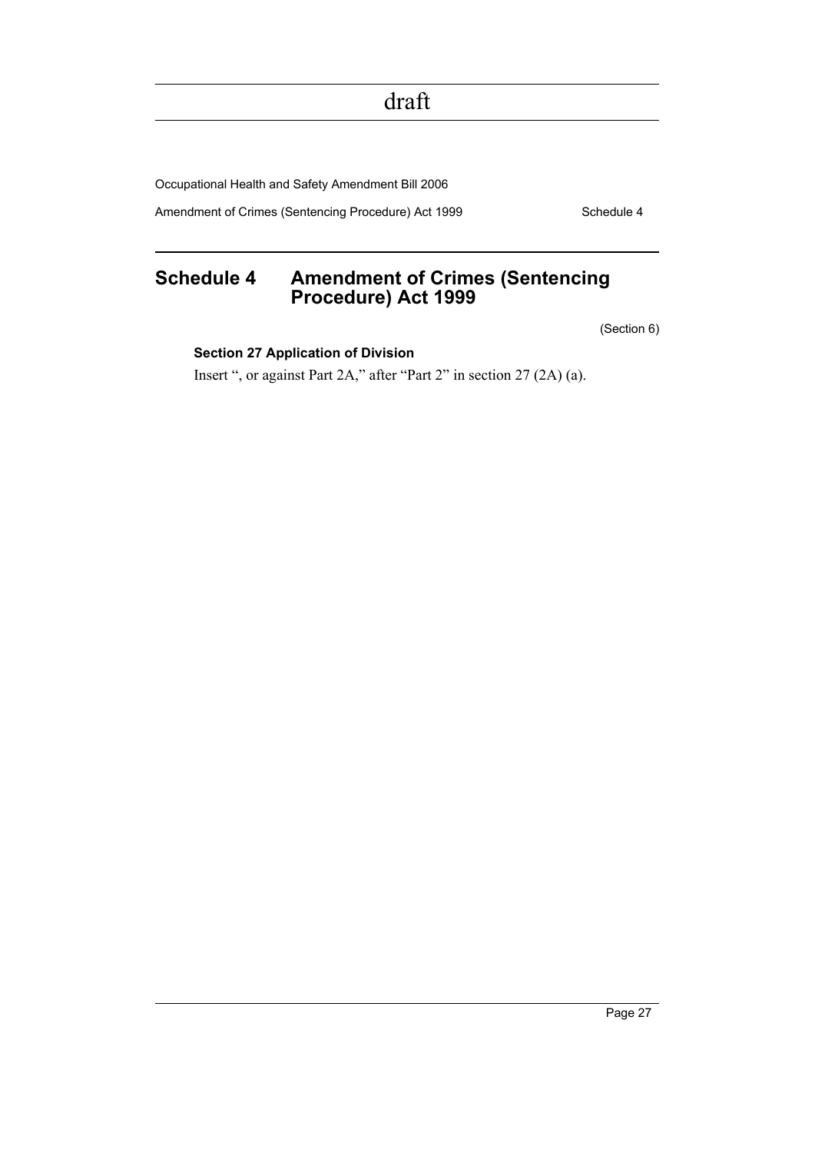Occupational Health and Safety Amendment Bill 2006

Amendment of Crimes (Sentencing Procedure) Act 1999 Schedule 4

### <span id="page-28-0"></span>**Schedule 4 Amendment of Crimes (Sentencing Procedure) Act 1999**

(Section 6)

#### **Section 27 Application of Division**

Insert ", or against Part 2A," after "Part 2" in section 27 (2A) (a).

Page 27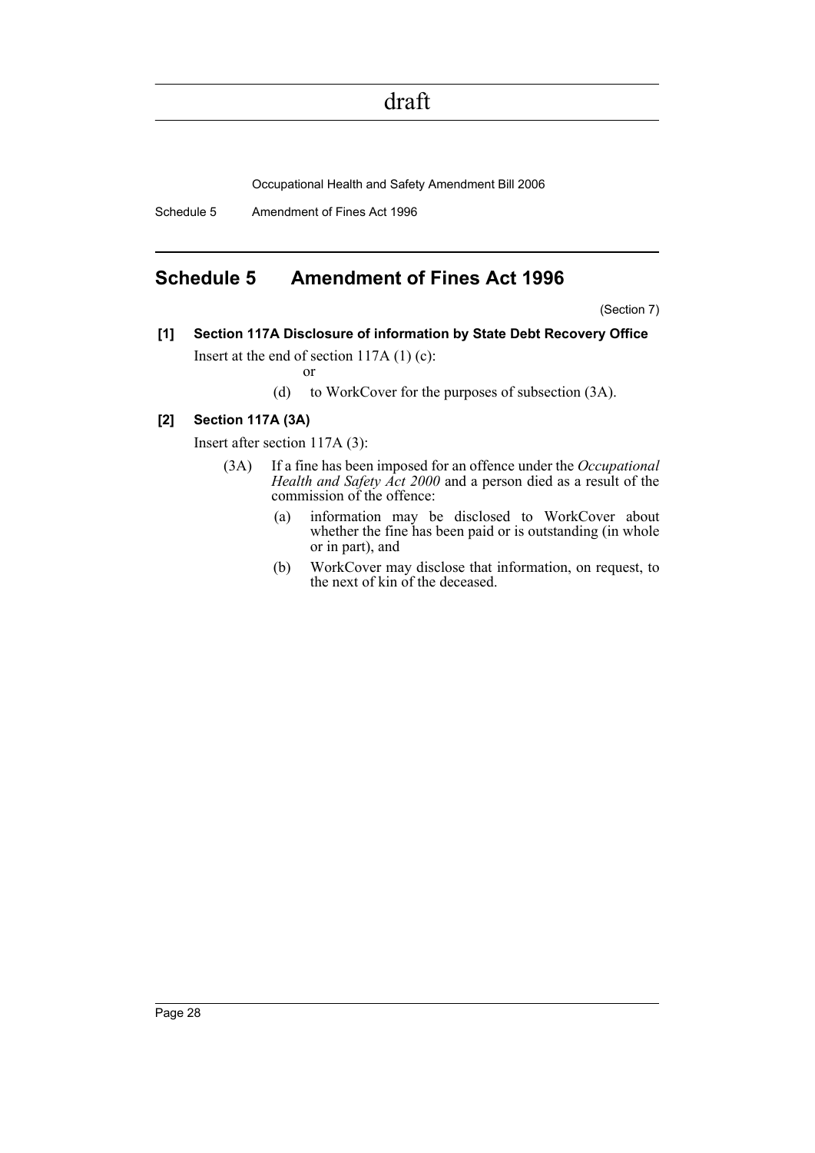Occupational Health and Safety Amendment Bill 2006

Schedule 5 Amendment of Fines Act 1996

### <span id="page-29-0"></span>**Schedule 5 Amendment of Fines Act 1996**

(Section 7)

**[1] Section 117A Disclosure of information by State Debt Recovery Office** Insert at the end of section 117A (1) (c):

or

(d) to WorkCover for the purposes of subsection (3A).

#### **[2] Section 117A (3A)**

Insert after section 117A (3):

- (3A) If a fine has been imposed for an offence under the *Occupational Health and Safety Act 2000* and a person died as a result of the commission of the offence:
	- (a) information may be disclosed to WorkCover about whether the fine has been paid or is outstanding (in whole or in part), and
	- (b) WorkCover may disclose that information, on request, to the next of kin of the deceased.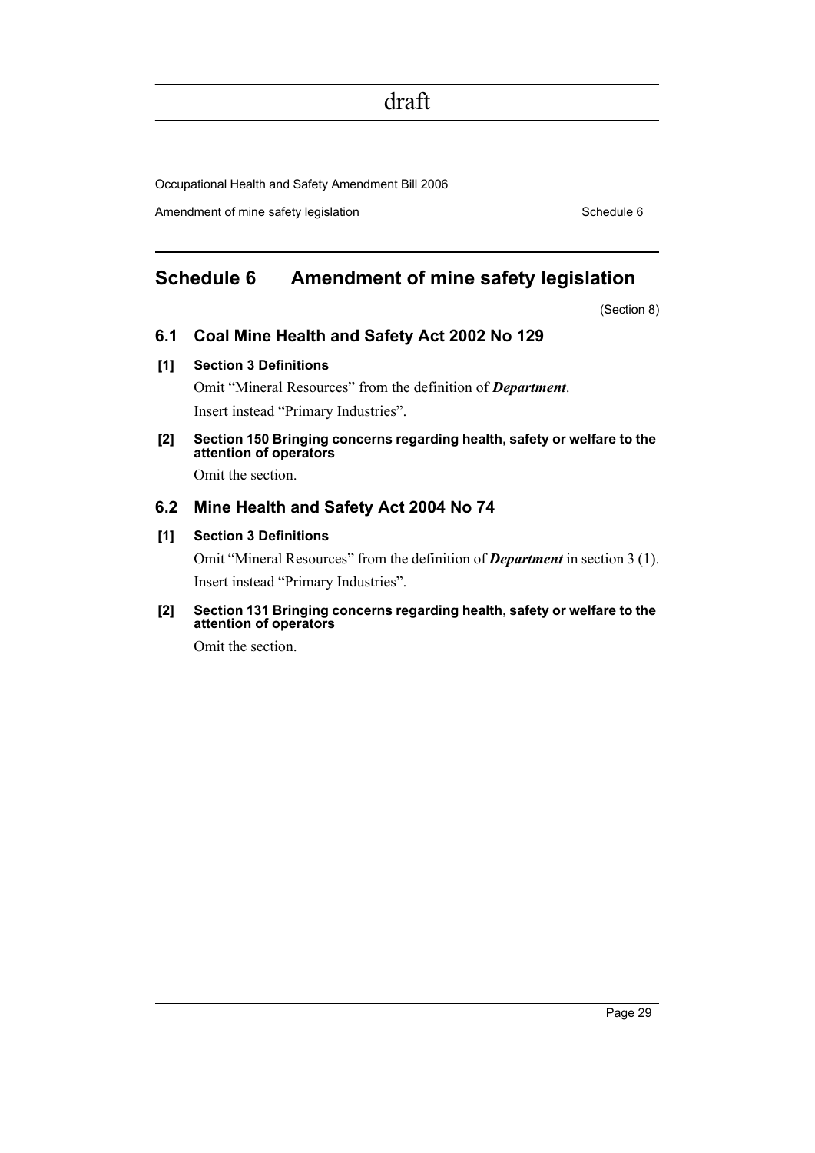Occupational Health and Safety Amendment Bill 2006

Amendment of mine safety legislation Schedule 6 Schedule 6

### <span id="page-30-0"></span>**Schedule 6 Amendment of mine safety legislation**

(Section 8)

#### **6.1 Coal Mine Health and Safety Act 2002 No 129**

#### **[1] Section 3 Definitions**

Omit "Mineral Resources" from the definition of *Department*. Insert instead "Primary Industries".

**[2] Section 150 Bringing concerns regarding health, safety or welfare to the attention of operators**

Omit the section.

### **6.2 Mine Health and Safety Act 2004 No 74**

#### **[1] Section 3 Definitions**

Omit "Mineral Resources" from the definition of *Department* in section 3 (1). Insert instead "Primary Industries".

#### **[2] Section 131 Bringing concerns regarding health, safety or welfare to the attention of operators**

Omit the section.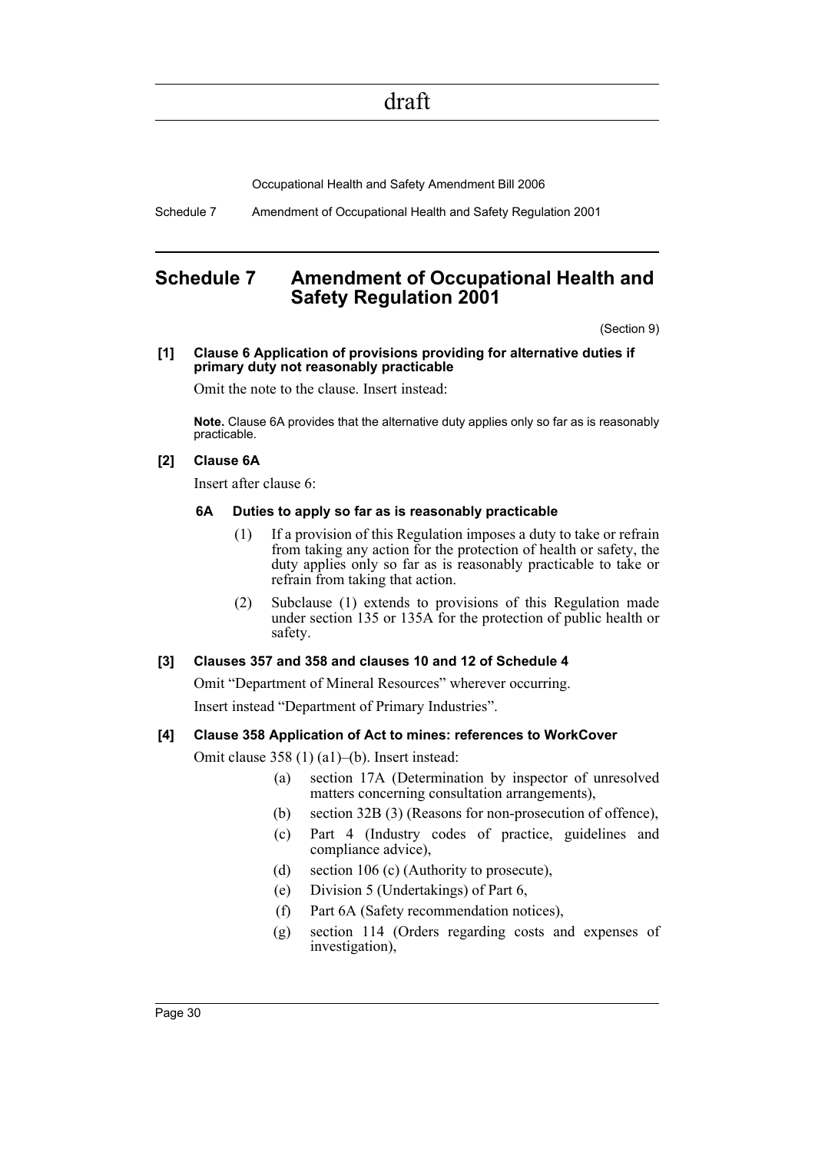Occupational Health and Safety Amendment Bill 2006

Schedule 7 Amendment of Occupational Health and Safety Regulation 2001

### <span id="page-31-0"></span>**Schedule 7 Amendment of Occupational Health and Safety Regulation 2001**

(Section 9)

#### **[1] Clause 6 Application of provisions providing for alternative duties if primary duty not reasonably practicable**

Omit the note to the clause. Insert instead:

**Note.** Clause 6A provides that the alternative duty applies only so far as is reasonably practicable.

#### **[2] Clause 6A**

Insert after clause 6:

#### **6A Duties to apply so far as is reasonably practicable**

- (1) If a provision of this Regulation imposes a duty to take or refrain from taking any action for the protection of health or safety, the duty applies only so far as is reasonably practicable to take or refrain from taking that action.
- (2) Subclause (1) extends to provisions of this Regulation made under section 135 or 135A for the protection of public health or safety.

#### **[3] Clauses 357 and 358 and clauses 10 and 12 of Schedule 4**

Omit "Department of Mineral Resources" wherever occurring. Insert instead "Department of Primary Industries".

#### **[4] Clause 358 Application of Act to mines: references to WorkCover**

Omit clause 358 (1) (a1)–(b). Insert instead:

- (a) section 17A (Determination by inspector of unresolved matters concerning consultation arrangements),
- (b) section 32B (3) (Reasons for non-prosecution of offence),
- (c) Part 4 (Industry codes of practice, guidelines and compliance advice),
- (d) section 106 (c) (Authority to prosecute),
- (e) Division 5 (Undertakings) of Part 6,
- (f) Part 6A (Safety recommendation notices),
- (g) section 114 (Orders regarding costs and expenses of investigation),